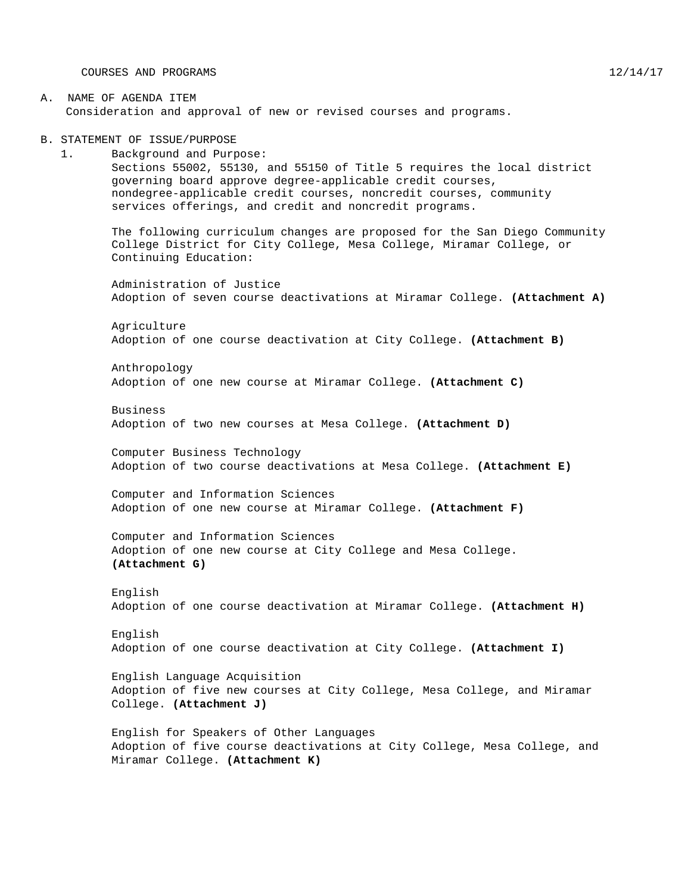COURSES AND PROGRAMS 12/14/17

A. NAME OF AGENDA ITEM Consideration and approval of new or revised courses and programs.

B. STATEMENT OF ISSUE/PURPOSE

1. Background and Purpose: Sections 55002, 55130, and 55150 of Title 5 requires the local district governing board approve degree-applicable credit courses, nondegree-applicable credit courses, noncredit courses, community services offerings, and credit and noncredit programs.

The following curriculum changes are proposed for the San Diego Community College District for City College, Mesa College, Miramar College, or Continuing Education:

Administration of Justice Adoption of seven course deactivations at Miramar College. **(Attachment A)**

Agriculture Adoption of one course deactivation at City College. **(Attachment B)**

Anthropology Adoption of one new course at Miramar College. **(Attachment C)**

Business Adoption of two new courses at Mesa College. **(Attachment D)**

Computer Business Technology Adoption of two course deactivations at Mesa College. **(Attachment E)**

Computer and Information Sciences Adoption of one new course at Miramar College. **(Attachment F)**

Computer and Information Sciences Adoption of one new course at City College and Mesa College. **(Attachment G)**

English Adoption of one course deactivation at Miramar College. **(Attachment H)**

English Adoption of one course deactivation at City College. **(Attachment I)**

English Language Acquisition Adoption of five new courses at City College, Mesa College, and Miramar College. **(Attachment J)**

English for Speakers of Other Languages Adoption of five course deactivations at City College, Mesa College, and Miramar College. **(Attachment K)**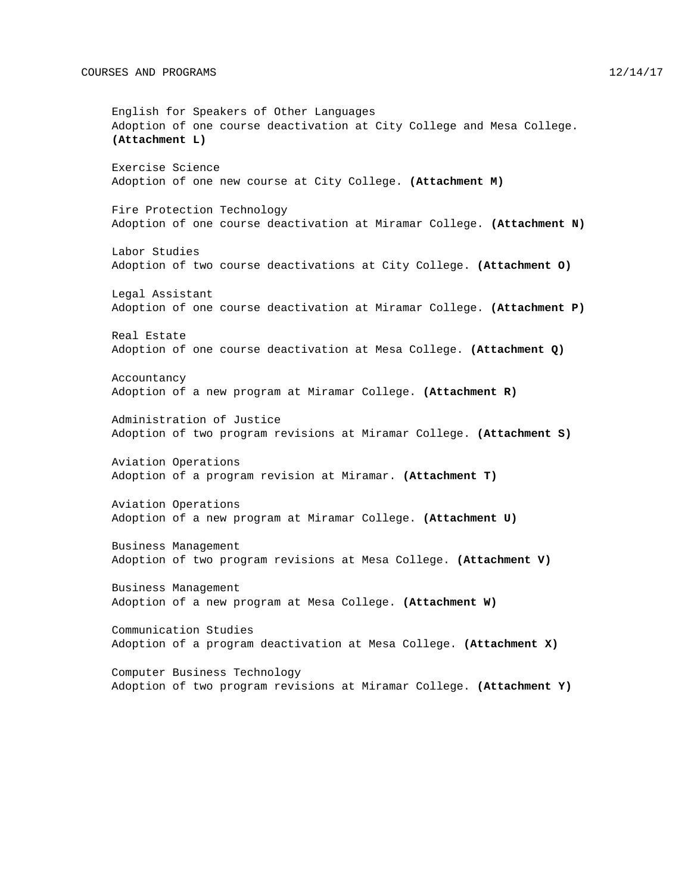English for Speakers of Other Languages Adoption of one course deactivation at City College and Mesa College. **(Attachment L)** Exercise Science Adoption of one new course at City College. **(Attachment M)** Fire Protection Technology Adoption of one course deactivation at Miramar College. **(Attachment N)** Labor Studies Adoption of two course deactivations at City College. **(Attachment O)** Legal Assistant Adoption of one course deactivation at Miramar College. **(Attachment P)** Real Estate Adoption of one course deactivation at Mesa College. **(Attachment Q)** Accountancy Adoption of a new program at Miramar College. **(Attachment R)** Administration of Justice Adoption of two program revisions at Miramar College. **(Attachment S)** Aviation Operations Adoption of a program revision at Miramar. **(Attachment T)** Aviation Operations Adoption of a new program at Miramar College. **(Attachment U)** Business Management Adoption of two program revisions at Mesa College. **(Attachment V)** Business Management Adoption of a new program at Mesa College. **(Attachment W)** Communication Studies Adoption of a program deactivation at Mesa College. **(Attachment X)** Computer Business Technology Adoption of two program revisions at Miramar College. **(Attachment Y)**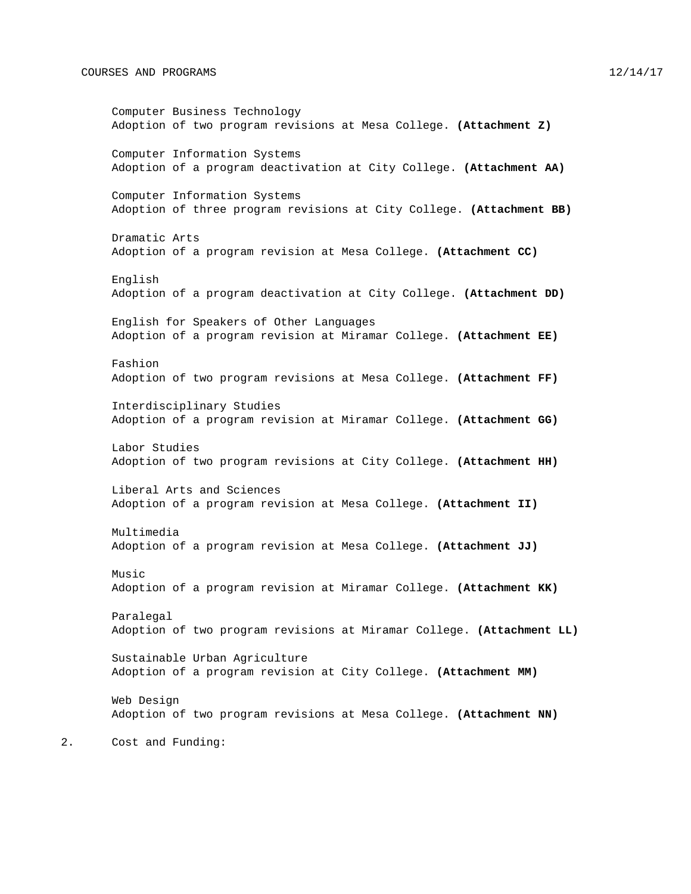#### COURSES AND PROGRAMS 12/14/17

Computer Business Technology Adoption of two program revisions at Mesa College. **(Attachment Z)** Computer Information Systems Adoption of a program deactivation at City College. **(Attachment AA)** Computer Information Systems Adoption of three program revisions at City College. **(Attachment BB)** Dramatic Arts Adoption of a program revision at Mesa College. **(Attachment CC)** English Adoption of a program deactivation at City College. **(Attachment DD)** English for Speakers of Other Languages Adoption of a program revision at Miramar College. **(Attachment EE)** Fashion Adoption of two program revisions at Mesa College. **(Attachment FF)** Interdisciplinary Studies Adoption of a program revision at Miramar College. **(Attachment GG)** Labor Studies Adoption of two program revisions at City College. **(Attachment HH)** Liberal Arts and Sciences Adoption of a program revision at Mesa College. **(Attachment II)** Multimedia Adoption of a program revision at Mesa College. **(Attachment JJ)** Music Adoption of a program revision at Miramar College. **(Attachment KK)** Paralegal Adoption of two program revisions at Miramar College. **(Attachment LL)** Sustainable Urban Agriculture Adoption of a program revision at City College. **(Attachment MM)** Web Design Adoption of two program revisions at Mesa College. **(Attachment NN)** 2. Cost and Funding: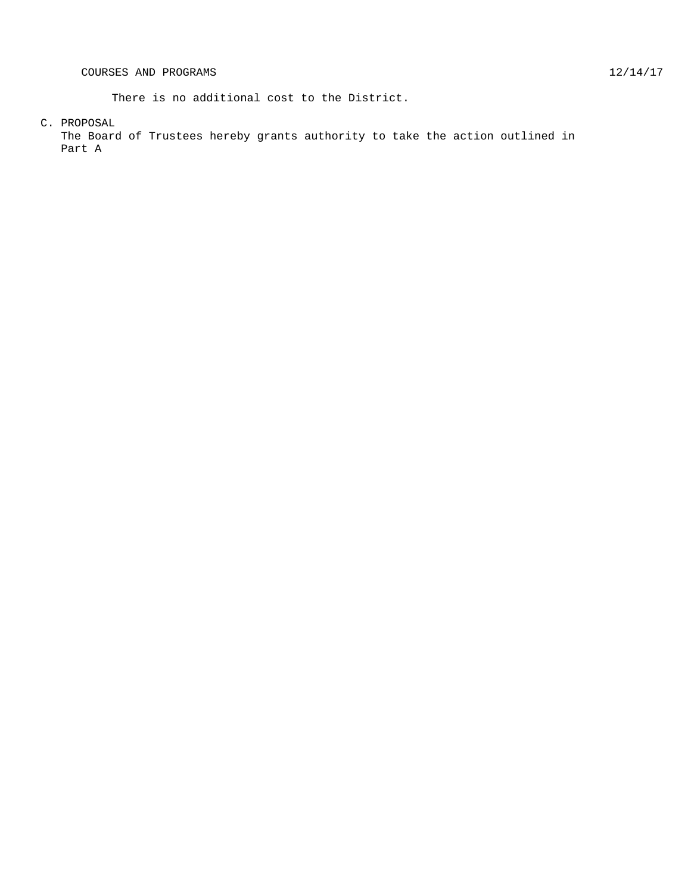There is no additional cost to the District.

C. PROPOSAL

The Board of Trustees hereby grants authority to take the action outlined in Part A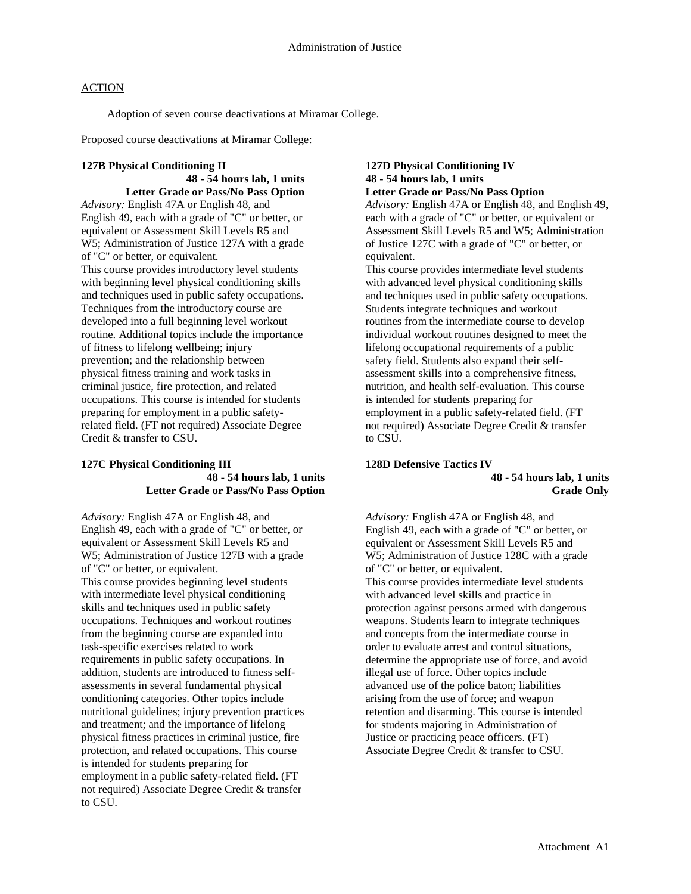Adoption of seven course deactivations at Miramar College.

Proposed course deactivations at Miramar College:

### **127B Physical Conditioning II**

**48 - 54 hours lab, 1 units Letter Grade or Pass/No Pass Option**

*Advisory:* English 47A or English 48, and English 49, each with a grade of "C" or better, or equivalent or Assessment Skill Levels R5 and W5; Administration of Justice 127A with a grade of "C" or better, or equivalent. This course provides introductory level students with beginning level physical conditioning skills and techniques used in public safety occupations. Techniques from the introductory course are developed into a full beginning level workout routine. Additional topics include the importance of fitness to lifelong wellbeing; injury prevention; and the relationship between physical fitness training and work tasks in criminal justice, fire protection, and related occupations. This course is intended for students preparing for employment in a public safetyrelated field. (FT not required) Associate Degree Credit & transfer to CSU.

#### **127C Physical Conditioning III 48 - 54 hours lab, 1 units Letter Grade or Pass/No Pass Option**

*Advisory:* English 47A or English 48, and English 49, each with a grade of "C" or better, or equivalent or Assessment Skill Levels R5 and W5; Administration of Justice 127B with a grade of "C" or better, or equivalent. This course provides beginning level students with intermediate level physical conditioning skills and techniques used in public safety occupations. Techniques and workout routines from the beginning course are expanded into task-specific exercises related to work requirements in public safety occupations. In addition, students are introduced to fitness selfassessments in several fundamental physical conditioning categories. Other topics include nutritional guidelines; injury prevention practices and treatment; and the importance of lifelong physical fitness practices in criminal justice, fire protection, and related occupations. This course is intended for students preparing for employment in a public safety-related field. (FT not required) Associate Degree Credit & transfer to CSU.

#### **127D Physical Conditioning IV 48 - 54 hours lab, 1 units Letter Grade or Pass/No Pass Option**

*Advisory:* English 47A or English 48, and English 49, each with a grade of "C" or better, or equivalent or Assessment Skill Levels R5 and W5; Administration of Justice 127C with a grade of "C" or better, or equivalent.

This course provides intermediate level students with advanced level physical conditioning skills and techniques used in public safety occupations. Students integrate techniques and workout routines from the intermediate course to develop individual workout routines designed to meet the lifelong occupational requirements of a public safety field. Students also expand their selfassessment skills into a comprehensive fitness, nutrition, and health self-evaluation. This course is intended for students preparing for employment in a public safety-related field. (FT not required) Associate Degree Credit & transfer to CSU.

# **128D Defensive Tactics IV**

### **48 - 54 hours lab, 1 units Grade Only**

*Advisory:* English 47A or English 48, and English 49, each with a grade of "C" or better, or equivalent or Assessment Skill Levels R5 and W5; Administration of Justice 128C with a grade of "C" or better, or equivalent. This course provides intermediate level students with advanced level skills and practice in protection against persons armed with dangerous weapons. Students learn to integrate techniques and concepts from the intermediate course in order to evaluate arrest and control situations, determine the appropriate use of force, and avoid illegal use of force. Other topics include advanced use of the police baton; liabilities arising from the use of force; and weapon retention and disarming. This course is intended for students majoring in Administration of Justice or practicing peace officers. (FT) Associate Degree Credit & transfer to CSU.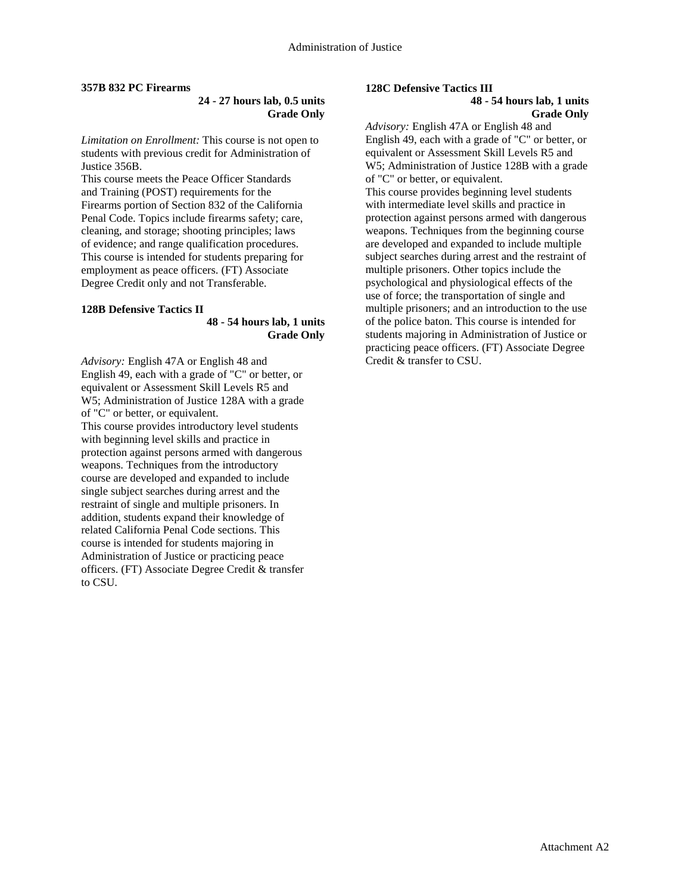#### **357B 832 PC Firearms**

### **24 - 27 hours lab, 0.5 units Grade Only**

*Limitation on Enrollment:* This course is not open to students with previous credit for Administration of Justice 356B.

This course meets the Peace Officer Standards and Training (POST) requirements for the Firearms portion of Section 832 of the California Penal Code. Topics include firearms safety; care, cleaning, and storage; shooting principles; laws of evidence; and range qualification procedures. This course is intended for students preparing for employment as peace officers. (FT) Associate Degree Credit only and not Transferable.

#### **128B Defensive Tactics II**

### **48 - 54 hours lab, 1 units Grade Only**

*Advisory:* English 47A or English 48 and English 49, each with a grade of "C" or better, or equivalent or Assessment Skill Levels R5 and W5; Administration of Justice 128A with a grade of "C" or better, or equivalent. This course provides introductory level students with beginning level skills and practice in protection against persons armed with dangerous weapons. Techniques from the introductory course are developed and expanded to include single subject searches during arrest and the restraint of single and multiple prisoners. In addition, students expand their knowledge of related California Penal Code sections. This course is intended for students majoring in Administration of Justice or practicing peace officers. (FT) Associate Degree Credit & transfer to CSU.

## **128C Defensive Tactics III**

#### **48 - 54 hours lab, 1 units Grade Only**

*Advisory:* English 47A or English 48 and English 49, each with a grade of "C" or better, or equivalent or Assessment Skill Levels R5 and W5; Administration of Justice 128B with a grade of "C" or better, or equivalent.

This course provides beginning level students with intermediate level skills and practice in protection against persons armed with dangerous weapons. Techniques from the beginning course are developed and expanded to include multiple subject searches during arrest and the restraint of multiple prisoners. Other topics include the psychological and physiological effects of the use of force; the transportation of single and multiple prisoners; and an introduction to the use of the police baton. This course is intended for students majoring in Administration of Justice or practicing peace officers. (FT) Associate Degree Credit & transfer to CSU.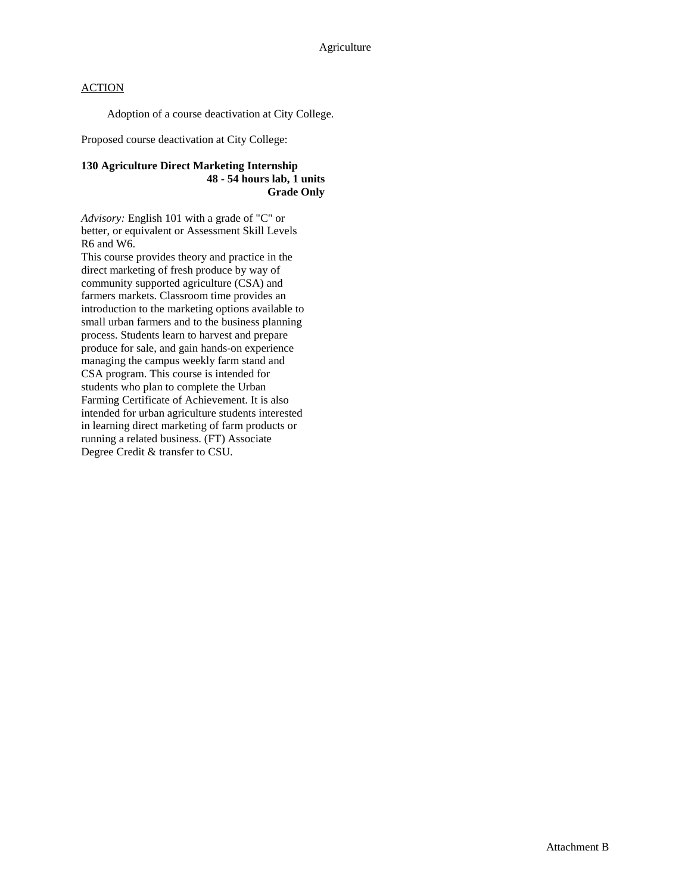Adoption of a course deactivation at City College.

Proposed course deactivation at City College:

### **130 Agriculture Direct Marketing Internship 48 - 54 hours lab, 1 units Grade Only**

*Advisory:* English 101 with a grade of "C" or better, or equivalent or Assessment Skill Levels R6 and W6.

This course provides theory and practice in the direct marketing of fresh produce by way of community supported agriculture (CSA) and farmers markets. Classroom time provides an introduction to the marketing options available to small urban farmers and to the business planning process. Students learn to harvest and prepare produce for sale, and gain hands-on experience managing the campus weekly farm stand and CSA program. This course is intended for students who plan to complete the Urban Farming Certificate of Achievement. It is also intended for urban agriculture students interested in learning direct marketing of farm products or running a related business. (FT) Associate Degree Credit & transfer to CSU.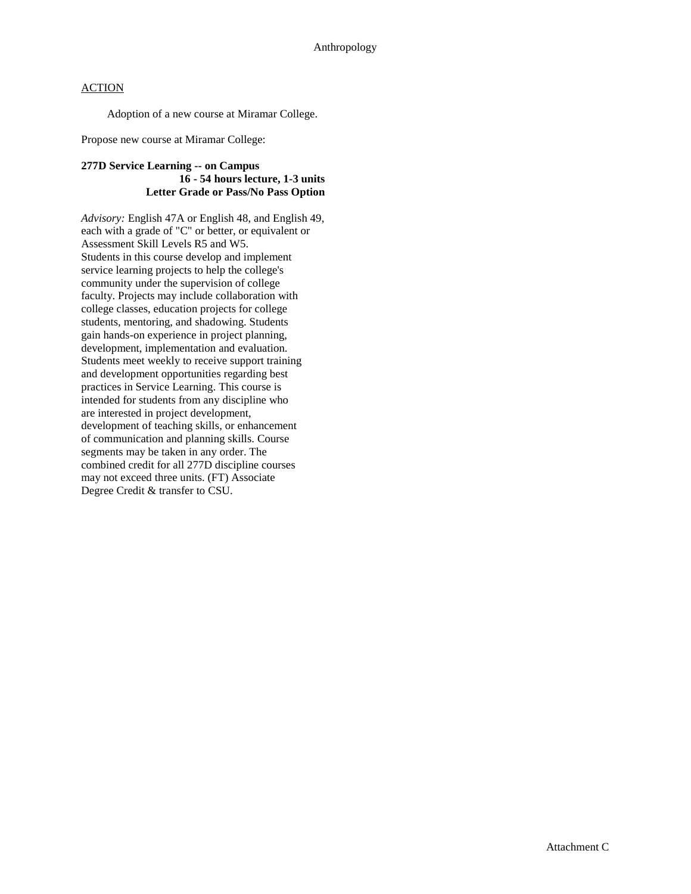Adoption of a new course at Miramar College.

Propose new course at Miramar College:

### **277D Service Learning -- on Campus 16 - 54 hours lecture, 1-3 units Letter Grade or Pass/No Pass Option**

*Advisory:* English 47A or English 48, and English 49, each with a grade of "C" or better, or equivalent or Assessment Skill Levels R5 and W5. Students in this course develop and implement service learning projects to help the college's community under the supervision of college faculty. Projects may include collaboration with college classes, education projects for college students, mentoring, and shadowing. Students gain hands-on experience in project planning, development, implementation and evaluation. Students meet weekly to receive support training and development opportunities regarding best practices in Service Learning. This course is intended for students from any discipline who are interested in project development, development of teaching skills, or enhancement of communication and planning skills. Course segments may be taken in any order. The combined credit for all 277D discipline courses may not exceed three units. (FT) Associate Degree Credit & transfer to CSU.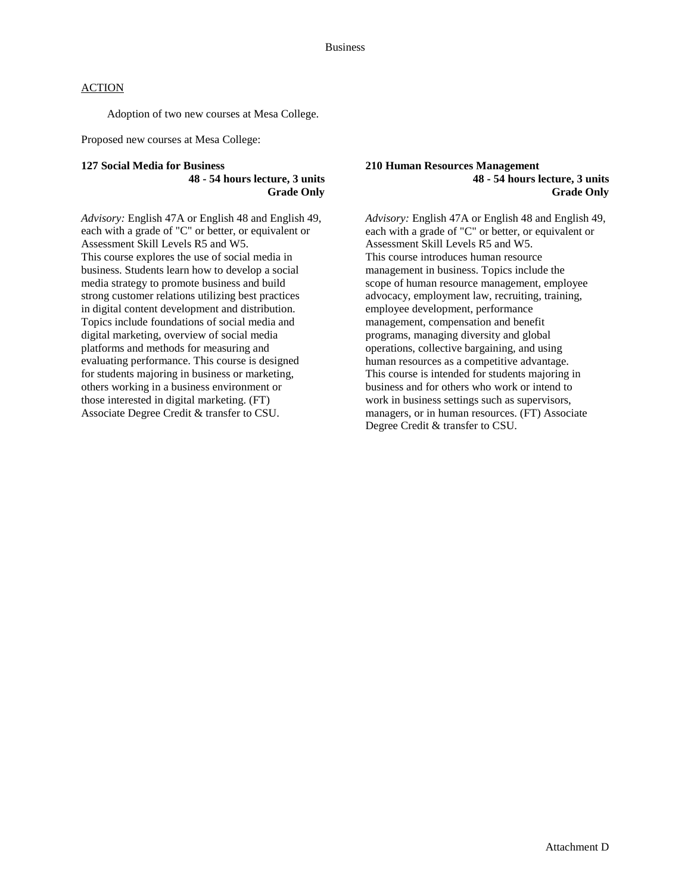Adoption of two new courses at Mesa College.

Proposed new courses at Mesa College:

#### **127 Social Media for Business 48 - 54 hours lecture, 3 units Grade Only**

*Advisory:* English 47A or English 48 and English 49, each with a grade of "C" or better, or equivalent or Assessment Skill Levels R5 and W5. This course explores the use of social media in business. Students learn how to develop a social media strategy to promote business and build strong customer relations utilizing best practices in digital content development and distribution. Topics include foundations of social media and digital marketing, overview of social media platforms and methods for measuring and evaluating performance. This course is designed for students majoring in business or marketing, others working in a business environment or those interested in digital marketing. (FT) Associate Degree Credit & transfer to CSU.

#### **210 Human Resources Management 48 - 54 hours lecture, 3 units Grade Only**

*Advisory:* English 47A or English 48 and English 49, each with a grade of "C" or better, or equivalent or Assessment Skill Levels R5 and W5. This course introduces human resource management in business. Topics include the scope of human resource management, employee advocacy, employment law, recruiting, training, employee development, performance management, compensation and benefit programs, managing diversity and global operations, collective bargaining, and using human resources as a competitive advantage. This course is intended for students majoring in business and for others who work or intend to work in business settings such as supervisors, managers, or in human resources. (FT) Associate Degree Credit & transfer to CSU.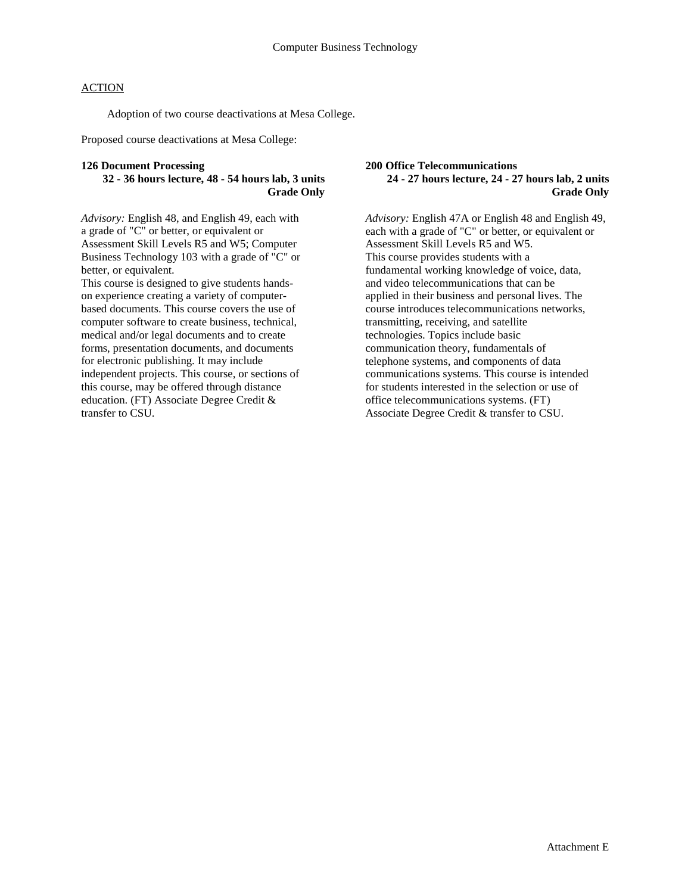Adoption of two course deactivations at Mesa College.

Proposed course deactivations at Mesa College:

#### **126 Document Processing**

### **32 - 36 hours lecture, 48 - 54 hours lab, 3 units Grade Only**

*Advisory:* English 48, and English 49, each with a grade of "C" or better, or equivalent or Assessment Skill Levels R5 and W5; Computer Business Technology 103 with a grade of "C" or better, or equivalent.

This course is designed to give students handson experience creating a variety of computerbased documents. This course covers the use of computer software to create business, technical, medical and/or legal documents and to create forms, presentation documents, and documents for electronic publishing. It may include independent projects. This course, or sections of this course, may be offered through distance education. (FT) Associate Degree Credit & transfer to CSU.

#### **200 Office Telecommunications 24 - 27 hours lecture, 24 - 27 hours lab, 2 units Grade Only**

*Advisory:* English 47A or English 48 and English 49, each with a grade of "C" or better, or equivalent or Assessment Skill Levels R5 and W5. This course provides students with a fundamental working knowledge of voice, data, and video telecommunications that can be applied in their business and personal lives. The course introduces telecommunications networks, transmitting, receiving, and satellite technologies. Topics include basic communication theory, fundamentals of telephone systems, and components of data communications systems. This course is intended for students interested in the selection or use of office telecommunications systems. (FT) Associate Degree Credit & transfer to CSU.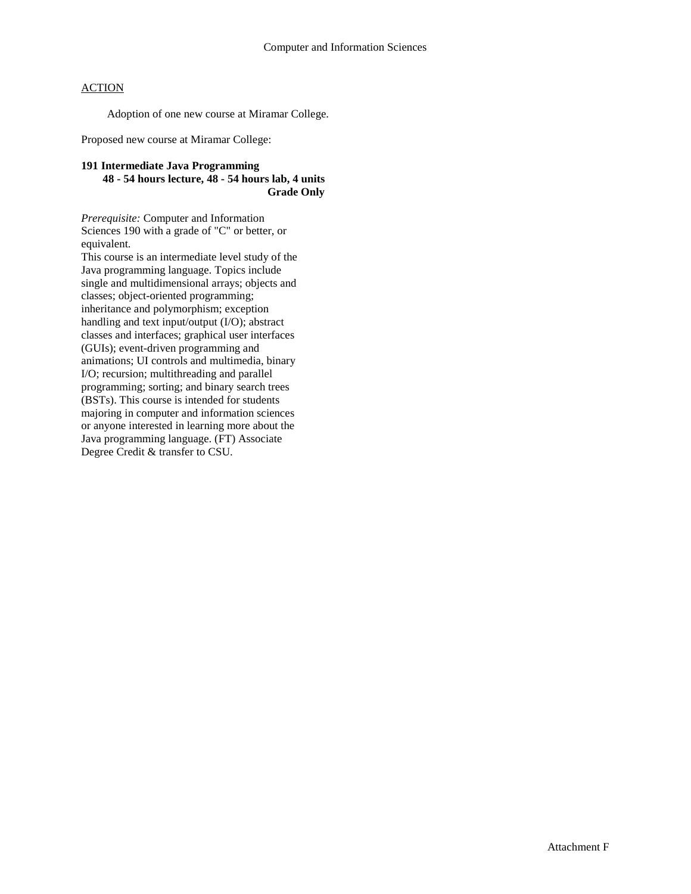Adoption of one new course at Miramar College.

Proposed new course at Miramar College:

### **191 Intermediate Java Programming 48 - 54 hours lecture, 48 - 54 hours lab, 4 units Grade Only**

*Prerequisite:* Computer and Information Sciences 190 with a grade of "C" or better, or equivalent.

This course is an intermediate level study of the Java programming language. Topics include single and multidimensional arrays; objects and classes; object-oriented programming; inheritance and polymorphism; exception handling and text input/output (I/O); abstract classes and interfaces; graphical user interfaces (GUIs); event-driven programming and animations; UI controls and multimedia, binary I/O; recursion; multithreading and parallel programming; sorting; and binary search trees (BSTs). This course is intended for students majoring in computer and information sciences or anyone interested in learning more about the Java programming language. (FT) Associate Degree Credit & transfer to CSU.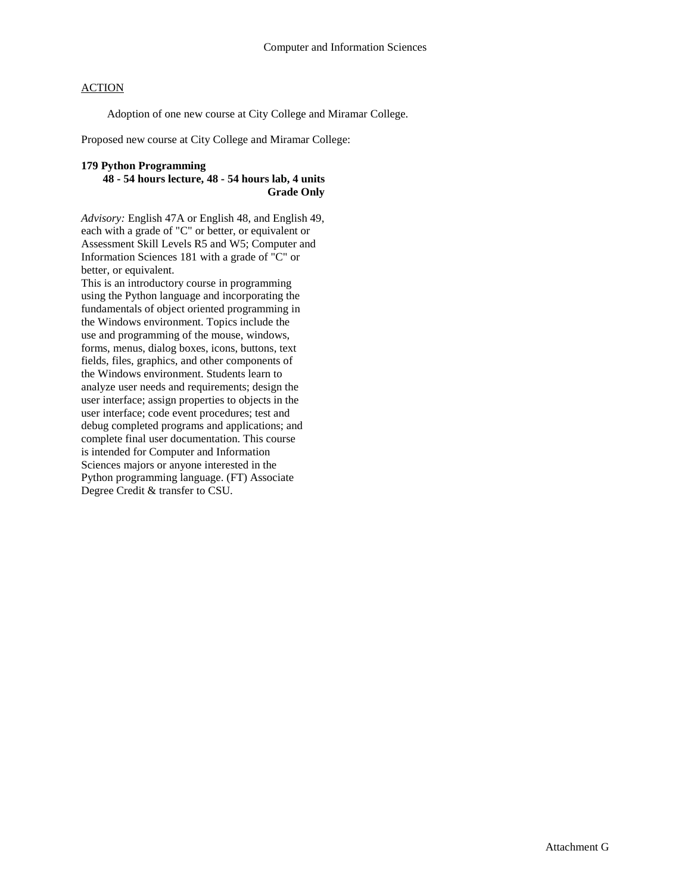Adoption of one new course at City College and Miramar College.

Proposed new course at City College and Miramar College:

### **179 Python Programming**

### **48 - 54 hours lecture, 48 - 54 hours lab, 4 units Grade Only**

*Advisory:* English 47A or English 48, and English 49, each with a grade of "C" or better, or equivalent or Assessment Skill Levels R5 and W5; Computer and Information Sciences 181 with a grade of "C" or better, or equivalent.

This is an introductory course in programming using the Python language and incorporating the fundamentals of object oriented programming in the Windows environment. Topics include the use and programming of the mouse, windows, forms, menus, dialog boxes, icons, buttons, text fields, files, graphics, and other components of the Windows environment. Students learn to analyze user needs and requirements; design the user interface; assign properties to objects in the user interface; code event procedures; test and debug completed programs and applications; and complete final user documentation. This course is intended for Computer and Information Sciences majors or anyone interested in the Python programming language. (FT) Associate Degree Credit & transfer to CSU.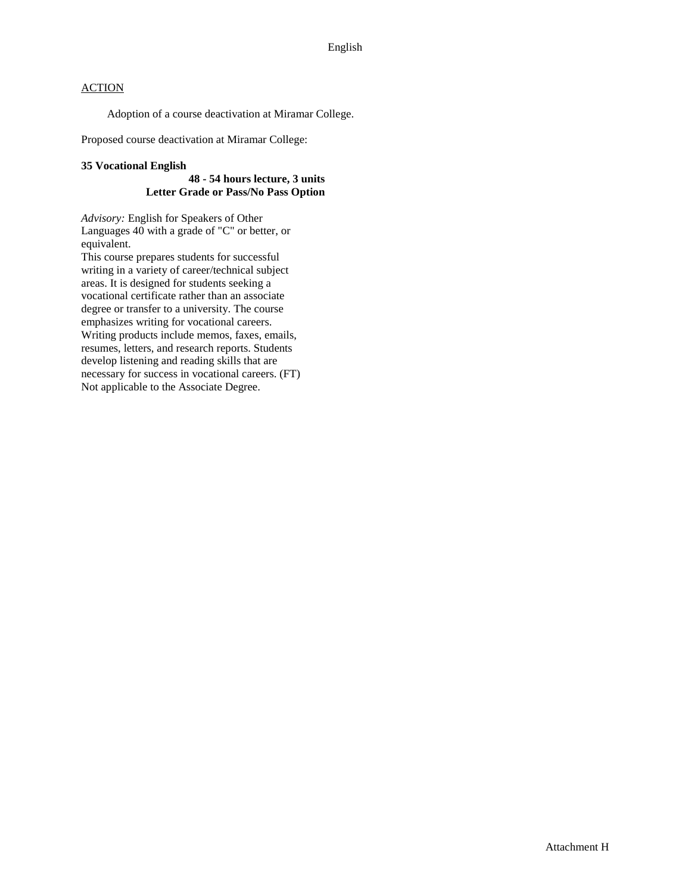Adoption of a course deactivation at Miramar College.

Proposed course deactivation at Miramar College:

#### **35 Vocational English**

### **48 - 54 hours lecture, 3 units Letter Grade or Pass/No Pass Option**

*Advisory:* English for Speakers of Other Languages 40 with a grade of "C" or better, or equivalent.

This course prepares students for successful writing in a variety of career/technical subject areas. It is designed for students seeking a vocational certificate rather than an associate degree or transfer to a university. The course emphasizes writing for vocational careers. Writing products include memos, faxes, emails, resumes, letters, and research reports. Students develop listening and reading skills that are necessary for success in vocational careers. (FT) Not applicable to the Associate Degree.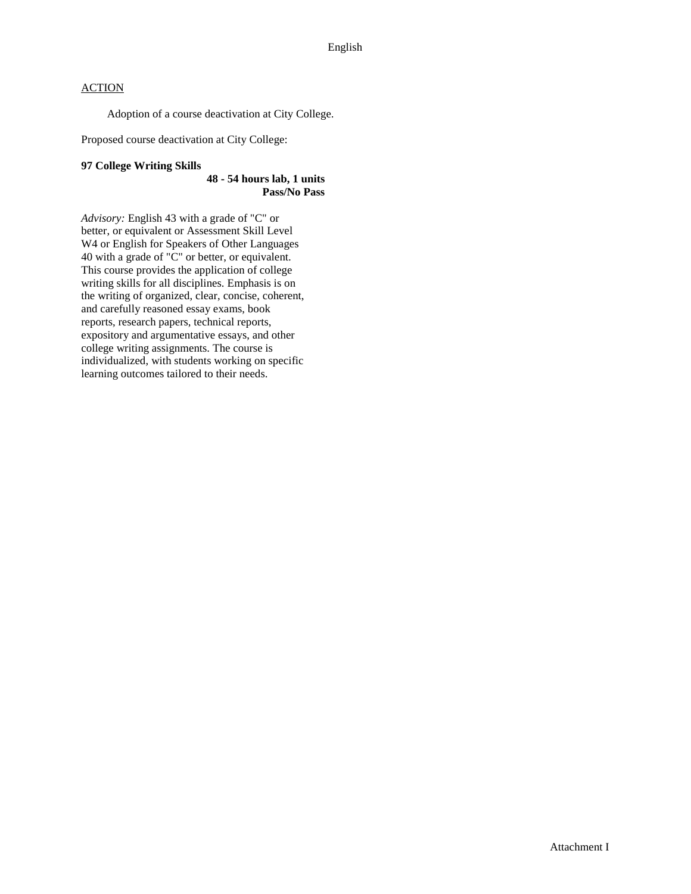Adoption of a course deactivation at City College.

Proposed course deactivation at City College:

### **97 College Writing Skills**

#### **48 - 54 hours lab, 1 units Pass/No Pass**

*Advisory:* English 43 with a grade of "C" or better, or equivalent or Assessment Skill Level W4 or English for Speakers of Other Languages 40 with a grade of "C" or better, or equivalent. This course provides the application of college writing skills for all disciplines. Emphasis is on the writing of organized, clear, concise, coherent, and carefully reasoned essay exams, book reports, research papers, technical reports, expository and argumentative essays, and other college writing assignments. The course is individualized, with students working on specific learning outcomes tailored to their needs.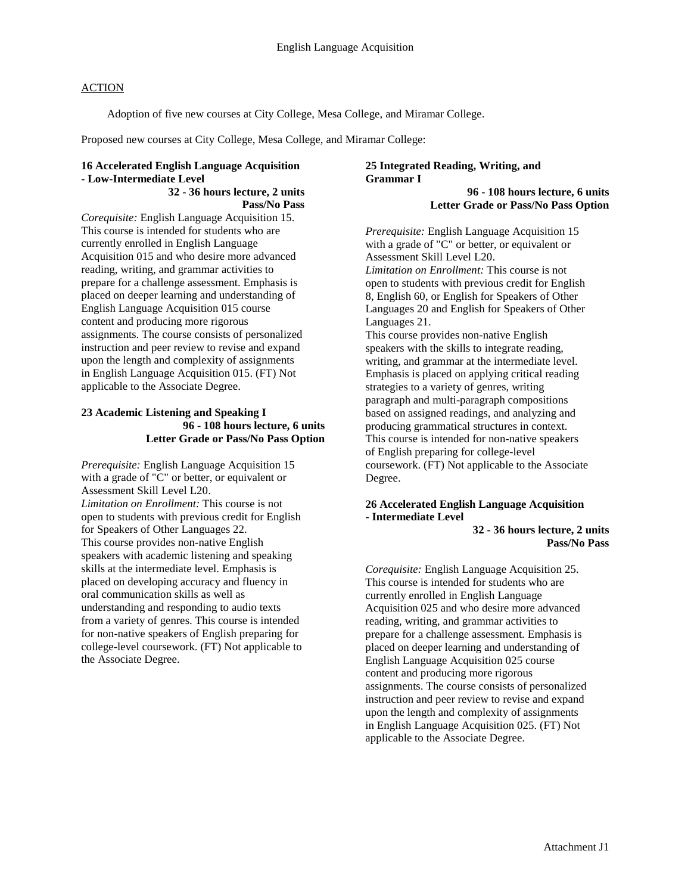Adoption of five new courses at City College, Mesa College, and Miramar College.

Proposed new courses at City College, Mesa College, and Miramar College:

### **16 Accelerated English Language Acquisition - Low-Intermediate Level**

**32 - 36 hours lecture, 2 units Pass/No Pass**

*Corequisite:* English Language Acquisition 15. This course is intended for students who are currently enrolled in English Language Acquisition 015 and who desire more advanced reading, writing, and grammar activities to prepare for a challenge assessment. Emphasis is placed on deeper learning and understanding of English Language Acquisition 015 course content and producing more rigorous assignments. The course consists of personalized instruction and peer review to revise and expand upon the length and complexity of assignments in English Language Acquisition 015. (FT) Not applicable to the Associate Degree.

### **23 Academic Listening and Speaking I 96 - 108 hours lecture, 6 units Letter Grade or Pass/No Pass Option**

*Prerequisite:* English Language Acquisition 15 with a grade of "C" or better, or equivalent or Assessment Skill Level L20. *Limitation on Enrollment:* This course is not open to students with previous credit for English for Speakers of Other Languages 22. This course provides non-native English speakers with academic listening and speaking skills at the intermediate level. Emphasis is placed on developing accuracy and fluency in oral communication skills as well as understanding and responding to audio texts from a variety of genres. This course is intended for non-native speakers of English preparing for college-level coursework. (FT) Not applicable to the Associate Degree.

### **25 Integrated Reading, Writing, and Grammar I**

**96 - 108 hours lecture, 6 units Letter Grade or Pass/No Pass Option**

*Prerequisite:* English Language Acquisition 15 with a grade of "C" or better, or equivalent or Assessment Skill Level L20. *Limitation on Enrollment:* This course is not open to students with previous credit for English 8, English 60, or English for Speakers of Other Languages 20 and English for Speakers of Other Languages 21.

This course provides non-native English speakers with the skills to integrate reading, writing, and grammar at the intermediate level. Emphasis is placed on applying critical reading strategies to a variety of genres, writing paragraph and multi-paragraph compositions based on assigned readings, and analyzing and producing grammatical structures in context. This course is intended for non-native speakers of English preparing for college-level coursework. (FT) Not applicable to the Associate Degree.

### **26 Accelerated English Language Acquisition - Intermediate Level**

**32 - 36 hours lecture, 2 units Pass/No Pass**

*Corequisite:* English Language Acquisition 25. This course is intended for students who are currently enrolled in English Language Acquisition 025 and who desire more advanced reading, writing, and grammar activities to prepare for a challenge assessment. Emphasis is placed on deeper learning and understanding of English Language Acquisition 025 course content and producing more rigorous assignments. The course consists of personalized instruction and peer review to revise and expand upon the length and complexity of assignments in English Language Acquisition 025. (FT) Not applicable to the Associate Degree.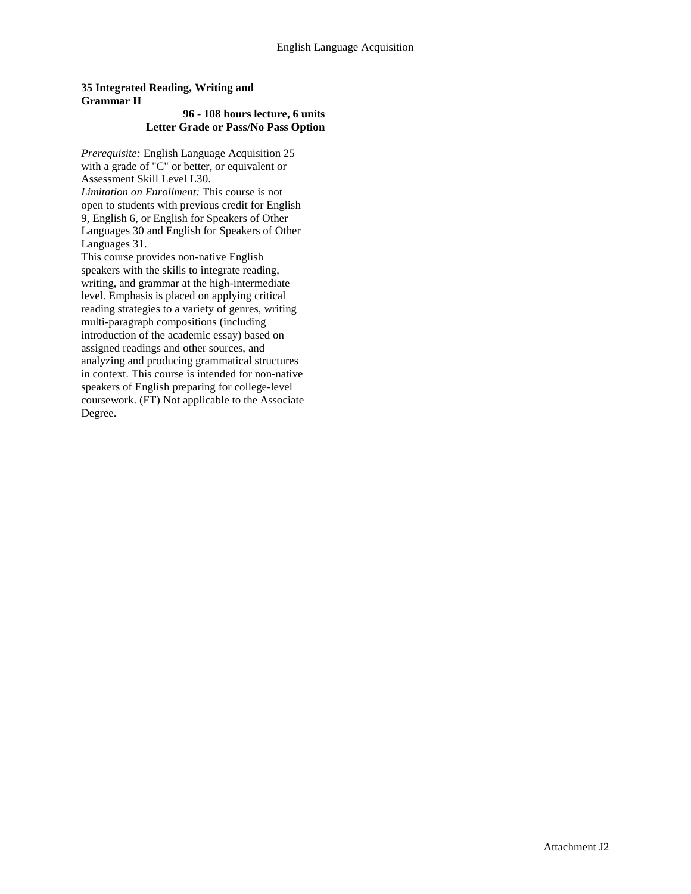### **35 Integrated Reading, Writing and Grammar II**

#### **96 - 108 hours lecture, 6 units Letter Grade or Pass/No Pass Option**

*Prerequisite:* English Language Acquisition 25 with a grade of "C" or better, or equivalent or Assessment Skill Level L30. *Limitation on Enrollment:* This course is not open to students with previous credit for English 9, English 6, or English for Speakers of Other Languages 30 and English for Speakers of Other Languages 31.

This course provides non-native English speakers with the skills to integrate reading, writing, and grammar at the high-intermediate level. Emphasis is placed on applying critical reading strategies to a variety of genres, writing multi-paragraph compositions (including introduction of the academic essay) based on assigned readings and other sources, and analyzing and producing grammatical structures in context. This course is intended for non-native speakers of English preparing for college-level coursework. (FT) Not applicable to the Associate Degree.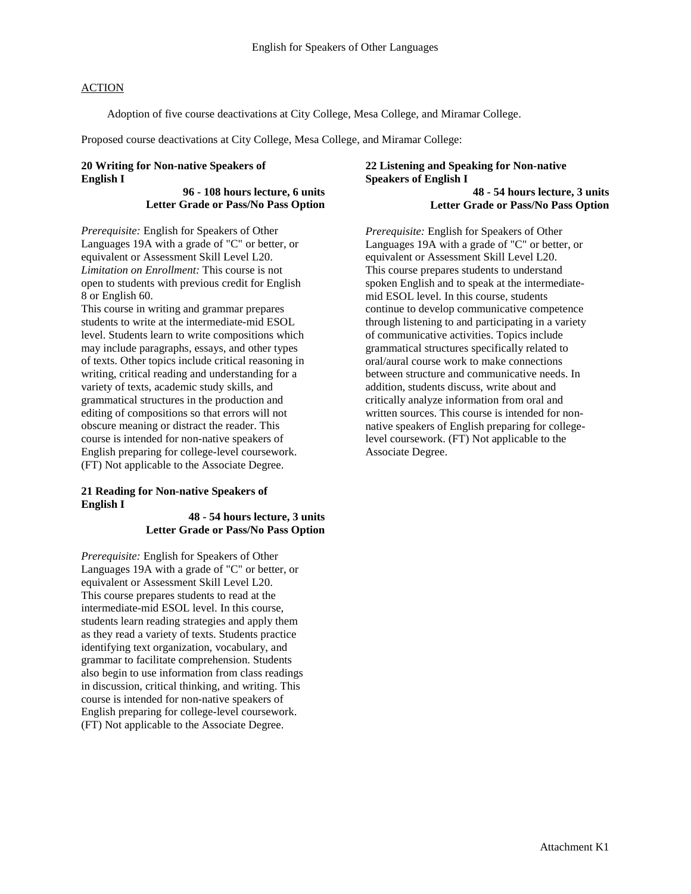Adoption of five course deactivations at City College, Mesa College, and Miramar College.

Proposed course deactivations at City College, Mesa College, and Miramar College:

### **20 Writing for Non-native Speakers of English I**

#### **96 - 108 hours lecture, 6 units Letter Grade or Pass/No Pass Option**

*Prerequisite:* English for Speakers of Other Languages 19A with a grade of "C" or better, or equivalent or Assessment Skill Level L20. *Limitation on Enrollment:* This course is not open to students with previous credit for English 8 or English 60.

This course in writing and grammar prepares students to write at the intermediate-mid ESOL level. Students learn to write compositions which may include paragraphs, essays, and other types of texts. Other topics include critical reasoning in writing, critical reading and understanding for a variety of texts, academic study skills, and grammatical structures in the production and editing of compositions so that errors will not obscure meaning or distract the reader. This course is intended for non-native speakers of English preparing for college-level coursework. (FT) Not applicable to the Associate Degree.

### **21 Reading for Non-native Speakers of English I**

#### **48 - 54 hours lecture, 3 units Letter Grade or Pass/No Pass Option**

*Prerequisite:* English for Speakers of Other Languages 19A with a grade of "C" or better, or equivalent or Assessment Skill Level L20. This course prepares students to read at the intermediate-mid ESOL level. In this course, students learn reading strategies and apply them as they read a variety of texts. Students practice identifying text organization, vocabulary, and grammar to facilitate comprehension. Students also begin to use information from class readings in discussion, critical thinking, and writing. This course is intended for non-native speakers of English preparing for college-level coursework. (FT) Not applicable to the Associate Degree.

### **22 Listening and Speaking for Non-native Speakers of English I**

**48 - 54 hours lecture, 3 units Letter Grade or Pass/No Pass Option**

*Prerequisite:* English for Speakers of Other Languages 19A with a grade of "C" or better, or equivalent or Assessment Skill Level L20. This course prepares students to understand spoken English and to speak at the intermediatemid ESOL level. In this course, students continue to develop communicative competence through listening to and participating in a variety of communicative activities. Topics include grammatical structures specifically related to oral/aural course work to make connections between structure and communicative needs. In addition, students discuss, write about and critically analyze information from oral and written sources. This course is intended for nonnative speakers of English preparing for collegelevel coursework. (FT) Not applicable to the Associate Degree.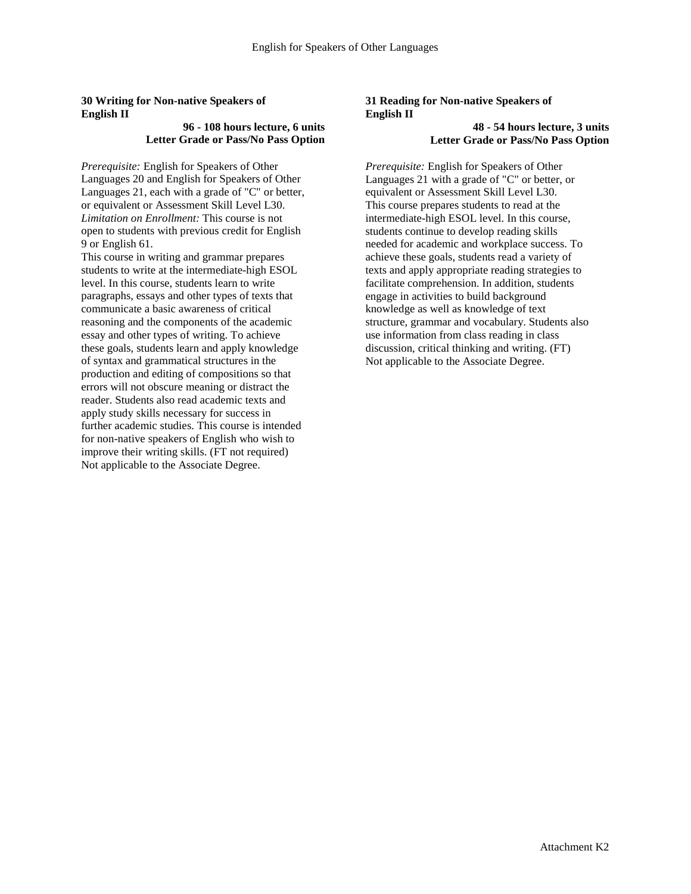### **30 Writing for Non-native Speakers of English II**

### **96 - 108 hours lecture, 6 units Letter Grade or Pass/No Pass Option**

*Prerequisite:* English for Speakers of Other Languages 20 and English for Speakers of Other Languages 21, each with a grade of "C" or better, or equivalent or Assessment Skill Level L30. *Limitation on Enrollment:* This course is not open to students with previous credit for English 9 or English 61.

This course in writing and grammar prepares students to write at the intermediate-high ESOL level. In this course, students learn to write paragraphs, essays and other types of texts that communicate a basic awareness of critical reasoning and the components of the academic essay and other types of writing. To achieve these goals, students learn and apply knowledge of syntax and grammatical structures in the production and editing of compositions so that errors will not obscure meaning or distract the reader. Students also read academic texts and apply study skills necessary for success in further academic studies. This course is intended for non-native speakers of English who wish to improve their writing skills. (FT not required) Not applicable to the Associate Degree.

### **31 Reading for Non-native Speakers of English II**

### **48 - 54 hours lecture, 3 units Letter Grade or Pass/No Pass Option**

*Prerequisite:* English for Speakers of Other Languages 21 with a grade of "C" or better, or equivalent or Assessment Skill Level L30. This course prepares students to read at the intermediate-high ESOL level. In this course, students continue to develop reading skills needed for academic and workplace success. To achieve these goals, students read a variety of texts and apply appropriate reading strategies to facilitate comprehension. In addition, students engage in activities to build background knowledge as well as knowledge of text structure, grammar and vocabulary. Students also use information from class reading in class discussion, critical thinking and writing. (FT) Not applicable to the Associate Degree.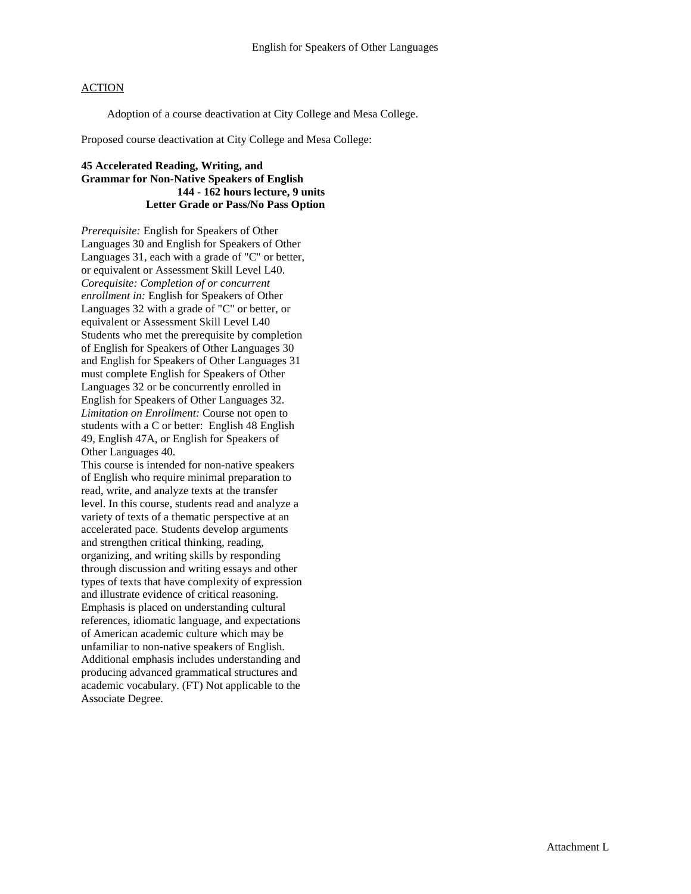Adoption of a course deactivation at City College and Mesa College.

Proposed course deactivation at City College and Mesa College:

### **45 Accelerated Reading, Writing, and Grammar for Non-Native Speakers of English 144 - 162 hours lecture, 9 units Letter Grade or Pass/No Pass Option**

*Prerequisite:* English for Speakers of Other Languages 30 and English for Speakers of Other Languages 31, each with a grade of "C" or better, or equivalent or Assessment Skill Level L40. *Corequisite: Completion of or concurrent enrollment in:* English for Speakers of Other Languages 32 with a grade of "C" or better, or equivalent or Assessment Skill Level L40 Students who met the prerequisite by completion of English for Speakers of Other Languages 30 and English for Speakers of Other Languages 31 must complete English for Speakers of Other Languages 32 or be concurrently enrolled in English for Speakers of Other Languages 32. *Limitation on Enrollment:* Course not open to students with a C or better: English 48 English 49, English 47A, or English for Speakers of Other Languages 40.

This course is intended for non-native speakers of English who require minimal preparation to read, write, and analyze texts at the transfer level. In this course, students read and analyze a variety of texts of a thematic perspective at an accelerated pace. Students develop arguments and strengthen critical thinking, reading, organizing, and writing skills by responding through discussion and writing essays and other types of texts that have complexity of expression and illustrate evidence of critical reasoning. Emphasis is placed on understanding cultural references, idiomatic language, and expectations of American academic culture which may be unfamiliar to non-native speakers of English. Additional emphasis includes understanding and producing advanced grammatical structures and academic vocabulary. (FT) Not applicable to the Associate Degree.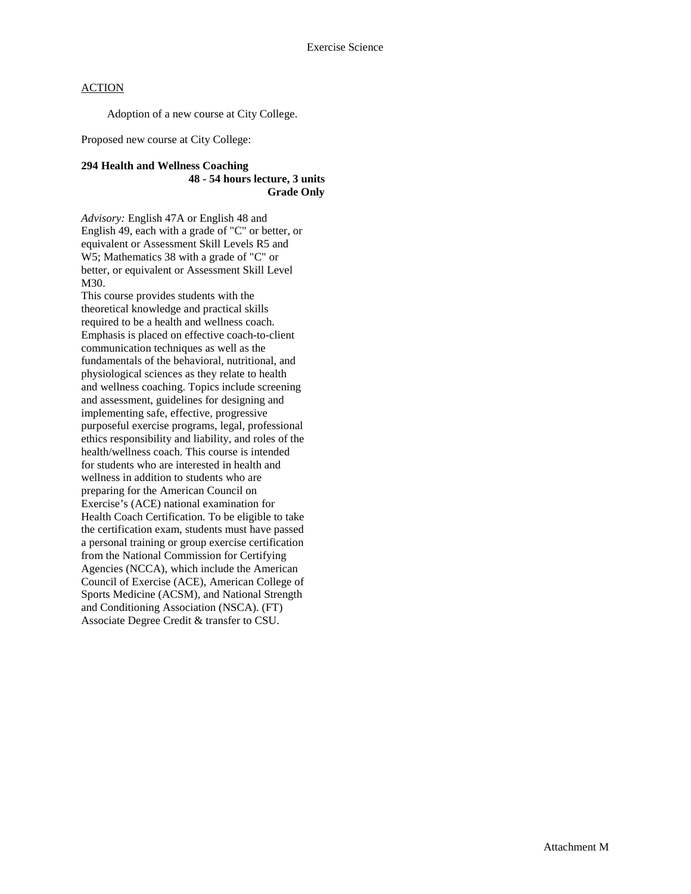Adoption of a new course at City College.

Proposed new course at City College:

### **294 Health and Wellness Coaching 48 - 54 hours lecture, 3 units Grade Only**

*Advisory:* English 47A or English 48 and English 49, each with a grade of "C" or better, or equivalent or Assessment Skill Levels R5 and W5; Mathematics 38 with a grade of "C" or better, or equivalent or Assessment Skill Level M30.

This course provides students with the theoretical knowledge and practical skills required to be a health and wellness coach. Emphasis is placed on effective coach-to-client communication techniques as well as the fundamentals of the behavioral, nutritional, and physiological sciences as they relate to health and wellness coaching. Topics include screening and assessment, guidelines for designing and implementing safe, effective, progressive purposeful exercise programs, legal, professional ethics responsibility and liability, and roles of the health/wellness coach. This course is intended for students who are interested in health and wellness in addition to students who are preparing for the American Council on Exercise's (ACE) national examination for Health Coach Certification. To be eligible to take the certification exam, students must have passed a personal training or group exercise certification from the National Commission for Certifying Agencies (NCCA), which include the American Council of Exercise (ACE), American College of Sports Medicine (ACSM), and National Strength and Conditioning Association (NSCA). (FT) Associate Degree Credit & transfer to CSU.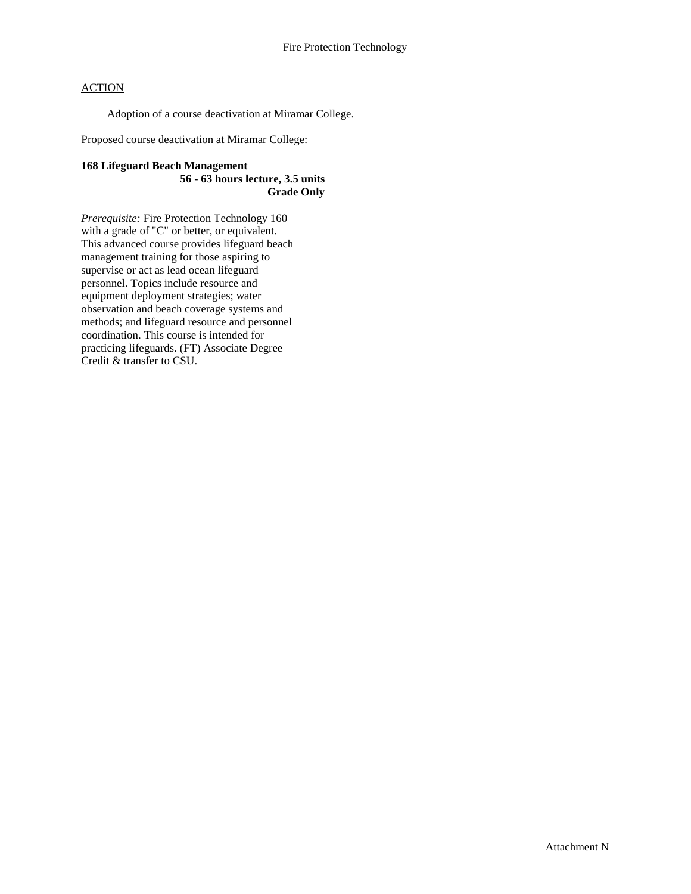Adoption of a course deactivation at Miramar College.

Proposed course deactivation at Miramar College:

### **168 Lifeguard Beach Management 56 - 63 hours lecture, 3.5 units Grade Only**

*Prerequisite:* Fire Protection Technology 160 with a grade of "C" or better, or equivalent. This advanced course provides lifeguard beach management training for those aspiring to supervise or act as lead ocean lifeguard personnel. Topics include resource and equipment deployment strategies; water observation and beach coverage systems and methods; and lifeguard resource and personnel coordination. This course is intended for practicing lifeguards. (FT) Associate Degree Credit & transfer to CSU.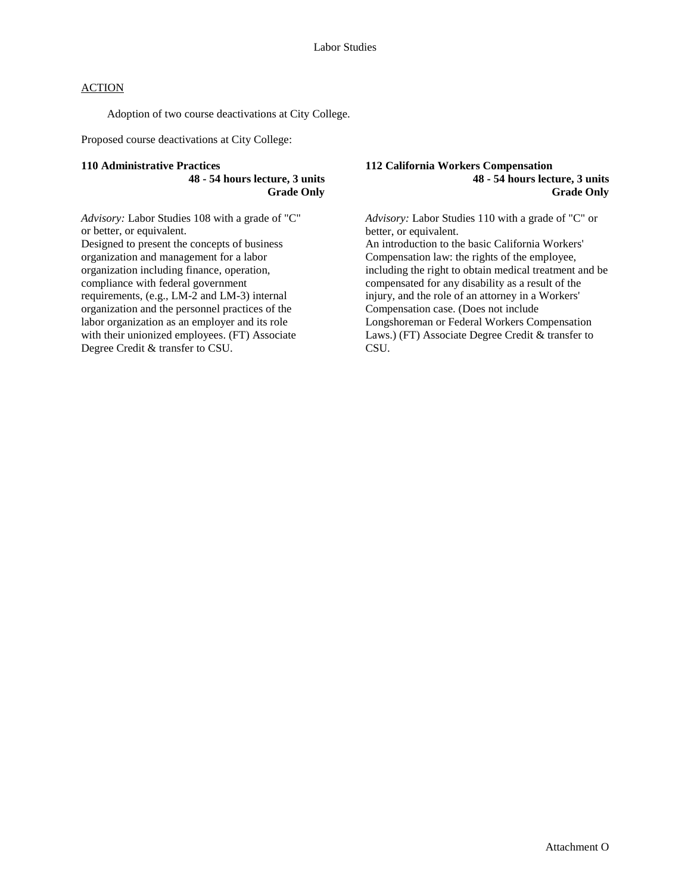Adoption of two course deactivations at City College.

Proposed course deactivations at City College:

#### **110 Administrative Practices**

**48 - 54 hours lecture, 3 units Grade Only**

*Advisory:* Labor Studies 108 with a grade of "C" or better, or equivalent. Designed to present the concepts of business organization and management for a labor organization including finance, operation, compliance with federal government requirements, (e.g., LM-2 and LM-3) internal organization and the personnel practices of the labor organization as an employer and its role with their unionized employees. (FT) Associate Degree Credit & transfer to CSU.

**112 California Workers Compensation 48 - 54 hours lecture, 3 units Grade Only**

*Advisory:* Labor Studies 110 with a grade of "C" or better, or equivalent.

An introduction to the basic California Workers' Compensation law: the rights of the employee, including the right to obtain medical treatment and be compensated for any disability as a result of the injury, and the role of an attorney in a Workers' Compensation case. (Does not include Longshoreman or Federal Workers Compensation Laws.) (FT) Associate Degree Credit & transfer to CSU.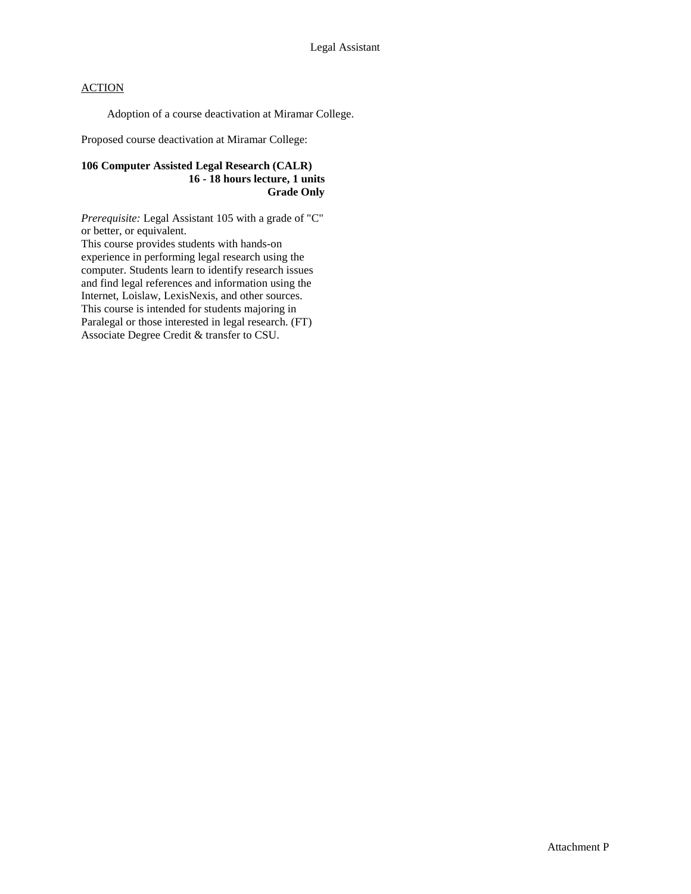Adoption of a course deactivation at Miramar College.

Proposed course deactivation at Miramar College:

### **106 Computer Assisted Legal Research (CALR) 16 - 18 hours lecture, 1 units Grade Only**

*Prerequisite:* Legal Assistant 105 with a grade of "C" or better, or equivalent.

This course provides students with hands-on experience in performing legal research using the computer. Students learn to identify research issues and find legal references and information using the Internet, Loislaw, LexisNexis, and other sources. This course is intended for students majoring in Paralegal or those interested in legal research. (FT) Associate Degree Credit & transfer to CSU.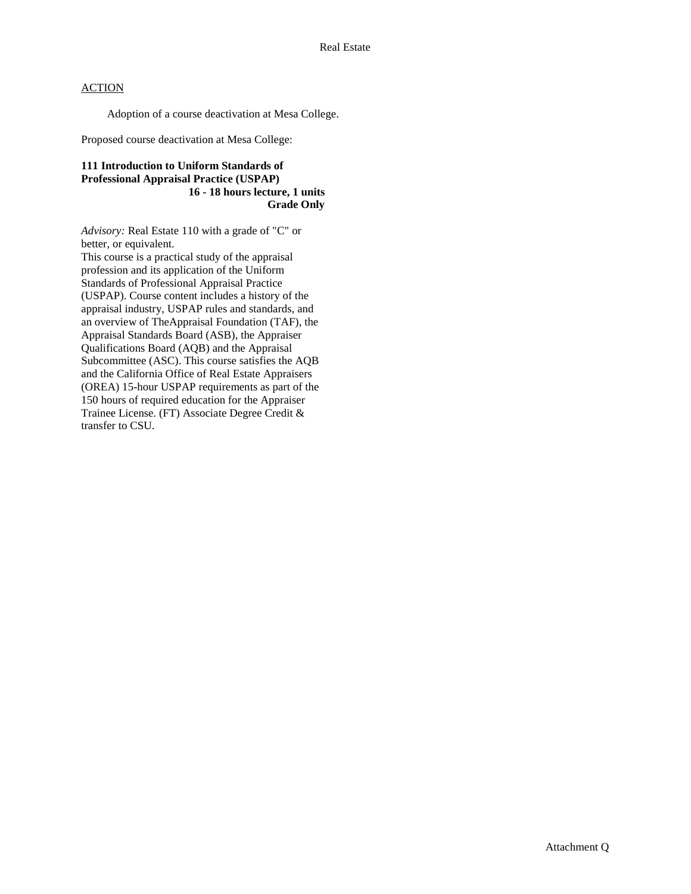Adoption of a course deactivation at Mesa College.

Proposed course deactivation at Mesa College:

### **111 Introduction to Uniform Standards of Professional Appraisal Practice (USPAP) 16 - 18 hours lecture, 1 units Grade Only**

*Advisory:* Real Estate 110 with a grade of "C" or better, or equivalent.

This course is a practical study of the appraisal profession and its application of the Uniform Standards of Professional Appraisal Practice (USPAP). Course content includes a history of the appraisal industry, USPAP rules and standards, and an overview of TheAppraisal Foundation (TAF), the Appraisal Standards Board (ASB), the Appraiser Qualifications Board (AQB) and the Appraisal Subcommittee (ASC). This course satisfies the AQB and the California Office of Real Estate Appraisers (OREA) 15-hour USPAP requirements as part of the 150 hours of required education for the Appraiser Trainee License. (FT) Associate Degree Credit & transfer to CSU.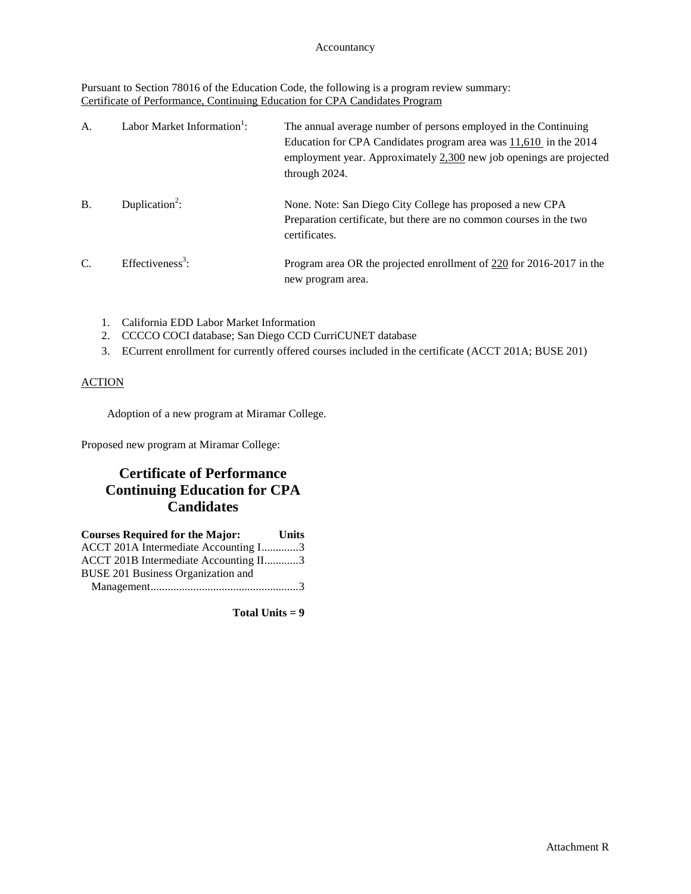### Accountancy

Pursuant to Section 78016 of the Education Code, the following is a program review summary: Certificate of Performance, Continuing Education for CPA Candidates Program

| A.            | Labor Market Information <sup>1</sup> : | The annual average number of persons employed in the Continuing<br>Education for CPA Candidates program area was $11,610$ in the 2014<br>employment year. Approximately 2,300 new job openings are projected<br>through 2024. |
|---------------|-----------------------------------------|-------------------------------------------------------------------------------------------------------------------------------------------------------------------------------------------------------------------------------|
| <b>B.</b>     | Duplication <sup>2</sup> :              | None. Note: San Diego City College has proposed a new CPA<br>Preparation certificate, but there are no common courses in the two<br>certificates.                                                                             |
| $\mathcal{C}$ | Effectiveness <sup>3</sup> :            | Program area OR the projected enrollment of 220 for 2016-2017 in the<br>new program area.                                                                                                                                     |

- 1. California EDD Labor Market Information
- 2. CCCCO COCI database; San Diego CCD CurriCUNET database
- 3. ECurrent enrollment for currently offered courses included in the certificate (ACCT 201A; BUSE 201)

### ACTION

Adoption of a new program at Miramar College.

Proposed new program at Miramar College:

# **Certificate of Performance Continuing Education for CPA Candidates**

| <b>Courses Required for the Major:</b> | <b>Units</b> |
|----------------------------------------|--------------|
| ACCT 201A Intermediate Accounting I3   |              |
| ACCT 201B Intermediate Accounting II3  |              |
| BUSE 201 Business Organization and     |              |
|                                        |              |

**Total Units = 9**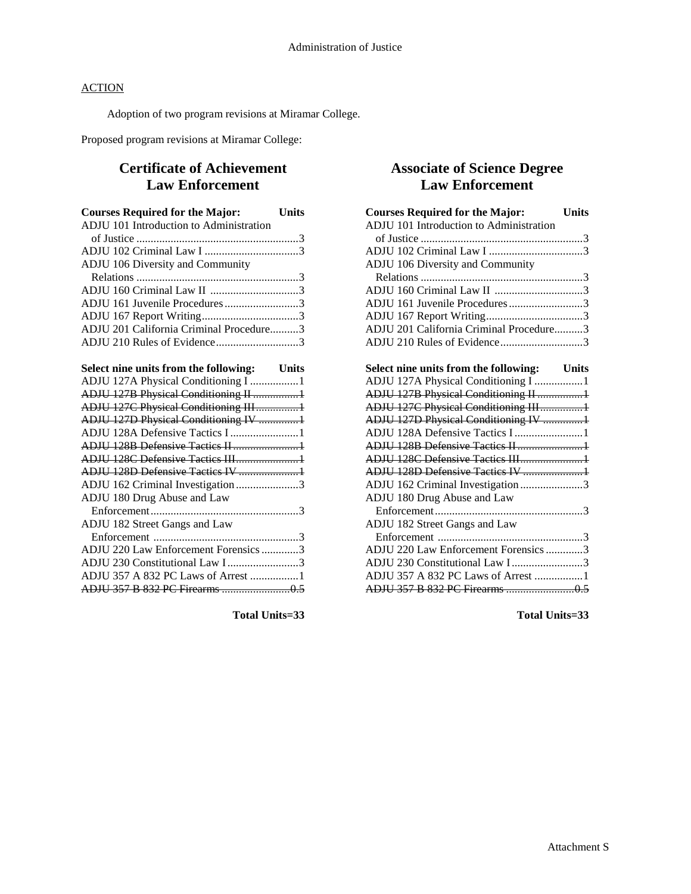Adoption of two program revisions at Miramar College.

Proposed program revisions at Miramar College:

# **Certificate of Achievement Law Enforcement**

| <b>Courses Required for the Major:</b>      | <b>Units</b> |
|---------------------------------------------|--------------|
| ADJU 101 Introduction to Administration     |              |
|                                             |              |
|                                             |              |
| ADJU 106 Diversity and Community            |              |
|                                             |              |
| ADJU 160 Criminal Law II 3                  |              |
| ADJU 161 Juvenile Procedures3               |              |
|                                             |              |
| ADJU 201 California Criminal Procedure3     |              |
| ADJU 210 Rules of Evidence3                 |              |
|                                             |              |
| Select nine units from the following: Units |              |
| ADJU 127A Physical Conditioning I 1         |              |
| ADJU 127B Physical Conditioning II 1        |              |
| ADJU 127C Physical Conditioning III1        |              |
| ADJU 127D Physical Conditioning IV 1        |              |
|                                             |              |
| ADJU 128B Defensive Tactics II1             |              |
| ADJU 128C Defensive Tactics III1            |              |
| ADJU 128D Defensive Tactics IV 1            |              |
| ADJU 162 Criminal Investigation 3           |              |
| ADJU 180 Drug Abuse and Law                 |              |
|                                             |              |
| ADJU 182 Street Gangs and Law               |              |
|                                             |              |
| ADJU 220 Law Enforcement Forensics 3        |              |
| ADJU 230 Constitutional Law I3              |              |
| ADJU 357 A 832 PC Laws of Arrest 1          |              |
|                                             |              |

**Total Units=33**

# **Associate of Science Degree Law Enforcement**

| <b>Courses Required for the Major:</b>      | <b>Units</b> |
|---------------------------------------------|--------------|
| ADJU 101 Introduction to Administration     |              |
|                                             |              |
|                                             |              |
| ADJU 106 Diversity and Community            |              |
|                                             |              |
| ADJU 160 Criminal Law II 3                  |              |
| ADJU 161 Juvenile Procedures3               |              |
|                                             |              |
| ADJU 201 California Criminal Procedure3     |              |
| ADJU 210 Rules of Evidence3                 |              |
|                                             |              |
| Select nine units from the following: Units |              |
| ADJU 127A Physical Conditioning I 1         |              |
| ADJU 127B Physical Conditioning II 1        |              |
| ADJU 127C Physical Conditioning III1        |              |
| ADJU 127D Physical Conditioning IV 1        |              |
| ADJU 128A Defensive Tactics I 1             |              |
| ADJU 128B Defensive Tactics II1             |              |
| ADJU 128C Defensive Tactics III1            |              |
| ADJU 128D Defensive Tactics IV 1            |              |
| ADJU 162 Criminal Investigation 3           |              |
| ADJU 180 Drug Abuse and Law                 |              |
|                                             |              |
| ADJU 182 Street Gangs and Law               |              |
|                                             |              |
| ADJU 220 Law Enforcement Forensics 3        |              |
| ADJU 230 Constitutional Law I3              |              |
| ADJU 357 A 832 PC Laws of Arrest 1          |              |
|                                             |              |

**Total Units=33**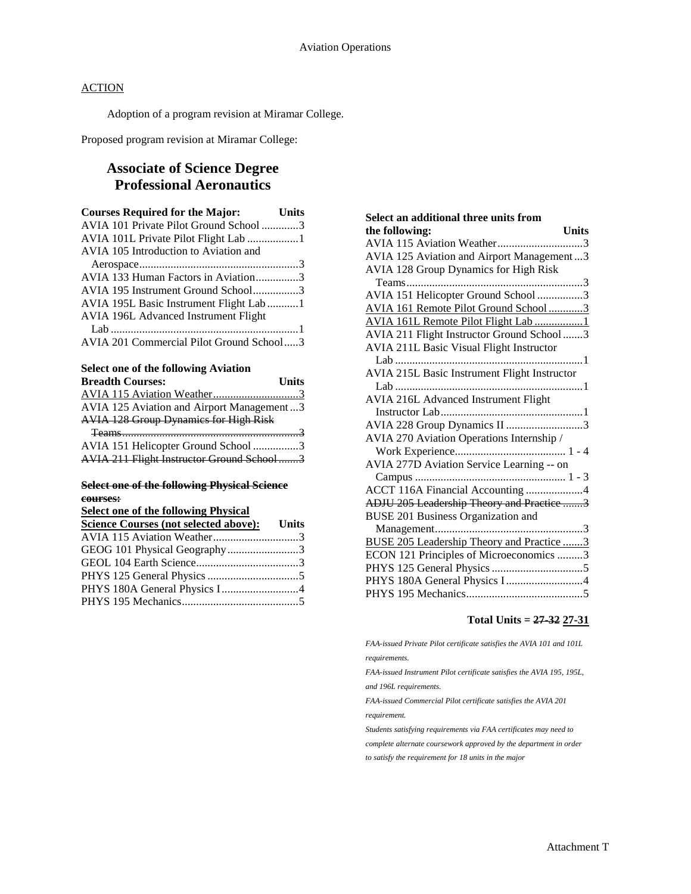Adoption of a program revision at Miramar College.

Proposed program revision at Miramar College:

# **Associate of Science Degree Professional Aeronautics**

| <b>Courses Required for the Major:</b>   | <b>Units</b> |
|------------------------------------------|--------------|
| AVIA 101 Private Pilot Ground School 3   |              |
| AVIA 101L Private Pilot Flight Lab 1     |              |
| AVIA 105 Introduction to Aviation and    |              |
|                                          |              |
| AVIA 133 Human Factors in Aviation3      |              |
| AVIA 195 Instrument Ground School3       |              |
| AVIA 195L Basic Instrument Flight Lab1   |              |
| AVIA 196L Advanced Instrument Flight     |              |
|                                          |              |
| AVIA 201 Commercial Pilot Ground School3 |              |
|                                          |              |

### **Select one of the following Aviation**

| <b>Breadth Courses:</b>                                                                                        | <b>Units</b> |
|----------------------------------------------------------------------------------------------------------------|--------------|
|                                                                                                                |              |
| AVIA 125 Aviation and Airport Management3                                                                      |              |
| <b>AVIA 128 Group Dynamics for High Risk</b>                                                                   |              |
| Teams 30 million contract to the contract of the contract of the contract of the contract of the contract of t |              |
| AVIA 151 Helicopter Ground School 3                                                                            |              |
| AVIA 211 Flight Instructor Ground School3                                                                      |              |

### **Select one of the following Physical Science courses:**

**Select one of the following Physical** 

| Science Courses (not selected above): Units |  |
|---------------------------------------------|--|
| AVIA 115 Aviation Weather3                  |  |
| GEOG 101 Physical Geography3                |  |
|                                             |  |
|                                             |  |
|                                             |  |
|                                             |  |

| Select an additional three units from            |
|--------------------------------------------------|
| the following:<br>Units                          |
| AVIA 115 Aviation Weather3                       |
| AVIA 125 Aviation and Airport Management3        |
| AVIA 128 Group Dynamics for High Risk            |
|                                                  |
| AVIA 151 Helicopter Ground School 3              |
| AVIA 161 Remote Pilot Ground School3             |
| AVIA 161L Remote Pilot Flight Lab1               |
| AVIA 211 Flight Instructor Ground School 3       |
| <b>AVIA 211L Basic Visual Flight Instructor</b>  |
|                                                  |
| AVIA 215L Basic Instrument Flight Instructor     |
|                                                  |
| <b>AVIA 216L Advanced Instrument Flight</b>      |
|                                                  |
| AVIA 228 Group Dynamics II 3                     |
| AVIA 270 Aviation Operations Internship /        |
|                                                  |
| AVIA 277D Aviation Service Learning -- on        |
|                                                  |
| ACCT 116A Financial Accounting 4                 |
| ADJU 205 Leadership Theory and Practice 3        |
| BUSE 201 Business Organization and               |
|                                                  |
| <b>BUSE 205 Leadership Theory and Practice 3</b> |
| ECON 121 Principles of Microeconomics 3          |
|                                                  |
| PHYS 180A General Physics I 4                    |
|                                                  |

### **Total Units = 27-32 27-31**

*FAA-issued Private Pilot certificate satisfies the AVIA 101 and 101L requirements.*

*FAA-issued Instrument Pilot certificate satisfies the AVIA 195, 195L, and 196L requirements.*

*FAA-issued Commercial Pilot certificate satisfies the AVIA 201* 

*requirement.*

*Students satisfying requirements via FAA certificates may need to complete alternate coursework approved by the department in order to satisfy the requirement for 18 units in the major*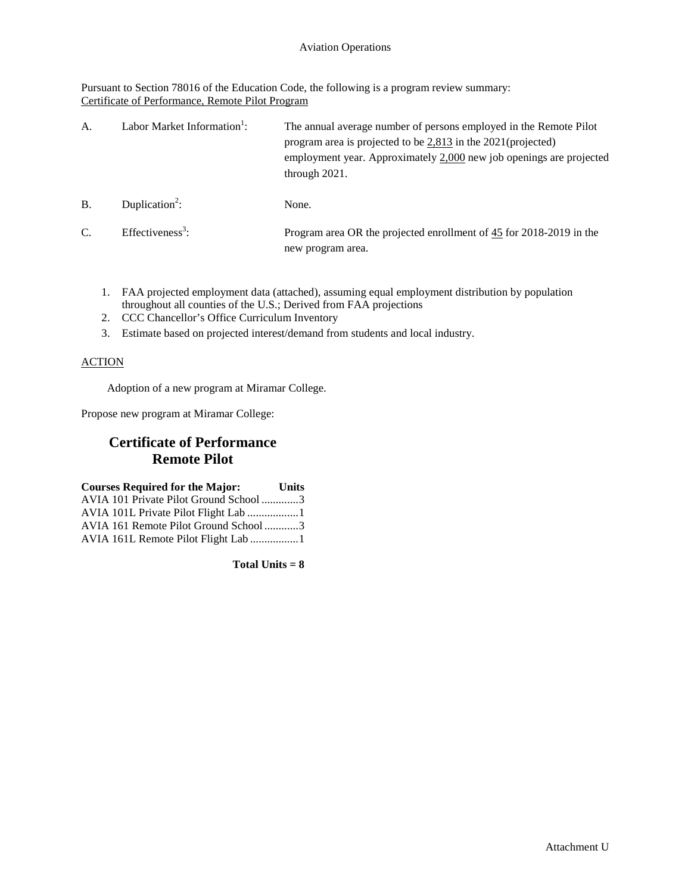Pursuant to Section 78016 of the Education Code, the following is a program review summary: Certificate of Performance, Remote Pilot Program

| A.            | Labor Market Information <sup>1</sup> : | The annual average number of persons employed in the Remote Pilot<br>program area is projected to be $2,813$ in the 2021(projected)<br>employment year. Approximately 2,000 new job openings are projected<br>through $2021$ . |
|---------------|-----------------------------------------|--------------------------------------------------------------------------------------------------------------------------------------------------------------------------------------------------------------------------------|
| <b>B.</b>     | Duplication <sup>2</sup> :              | None.                                                                                                                                                                                                                          |
| $\mathcal{C}$ | Effectiveness <sup>3</sup> :            | Program area OR the projected enrollment of 45 for 2018-2019 in the<br>new program area.                                                                                                                                       |

- 1. FAA projected employment data (attached), assuming equal employment distribution by population throughout all counties of the U.S.; Derived from FAA projections
- 2. CCC Chancellor's Office Curriculum Inventory
- 3. Estimate based on projected interest/demand from students and local industry.

### ACTION

Adoption of a new program at Miramar College.

Propose new program at Miramar College:

# **Certificate of Performance Remote Pilot**

| <b>Courses Required for the Major:</b> | <b>Units</b> |
|----------------------------------------|--------------|
| AVIA 101 Private Pilot Ground School 3 |              |
|                                        |              |
| AVIA 161 Remote Pilot Ground School3   |              |
| AVIA 161L Remote Pilot Flight Lab 1    |              |

**Total Units = 8**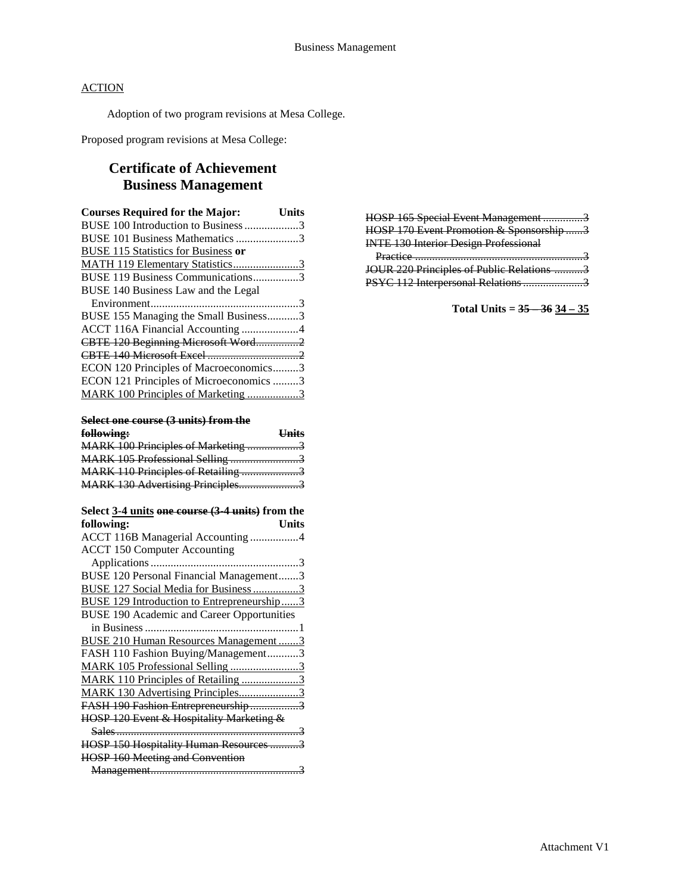Adoption of two program revisions at Mesa College.

Proposed program revisions at Mesa College:

# **Certificate of Achievement Business Management**

| Units                                   |
|-----------------------------------------|
| BUSE 100 Introduction to Business 3     |
| BUSE 101 Business Mathematics 3         |
|                                         |
| MATH 119 Elementary Statistics3         |
| BUSE 119 Business Communications3       |
|                                         |
|                                         |
| BUSE 155 Managing the Small Business3   |
| ACCT 116A Financial Accounting 4        |
| CBTE 120 Beginning Microsoft Word2      |
|                                         |
| ECON 120 Principles of Macroeconomics3  |
| ECON 121 Principles of Microeconomics 3 |
| MARK 100 Principles of Marketing 3      |
|                                         |

### **Select one course (3 units) from the**

| following:                         | <b>Units</b> |
|------------------------------------|--------------|
| MARK 100 Principles of Marketing 3 |              |
| MARK 105 Professional Selling 3    |              |
| MARK 110 Principles of Retailing 3 |              |
| MARK 130 Advertising Principles3   |              |
|                                    |              |

| Select 3-4 units one course (3-4 units) from the  |
|---------------------------------------------------|
| following:<br>Units                               |
| ACCT 116B Managerial Accounting 4                 |
| <b>ACCT 150 Computer Accounting</b>               |
|                                                   |
| BUSE 120 Personal Financial Management3           |
| <b>BUSE 127 Social Media for Business 3</b>       |
| <b>BUSE 129 Introduction to Entrepreneurship3</b> |
| <b>BUSE 190 Academic and Career Opportunities</b> |
|                                                   |
| BUSE 210 Human Resources Management3              |
| FASH 110 Fashion Buying/Management3               |
| MARK 105 Professional Selling 3                   |
| MARK 110 Principles of Retailing 3                |
| MARK 130 Advertising Principles3                  |
| FASH 190 Fashion Entrepreneurship3                |
| HOSP 120 Event & Hospitality Marketing &          |
|                                                   |
| HOSP 150 Hospitality Human Resources 3            |
| <b>HOSP 160 Meeting and Convention</b>            |
|                                                   |

| HOSP 165 Special Event Management 3          |  |
|----------------------------------------------|--|
| HOSP 170 Event Promotion & Sponsorship3      |  |
| <b>INTE 130 Interior Design Professional</b> |  |
|                                              |  |
|                                              |  |
| JOUR 220 Principles of Public Relations 3    |  |

**Total Units = 35 – 36 34 – 35**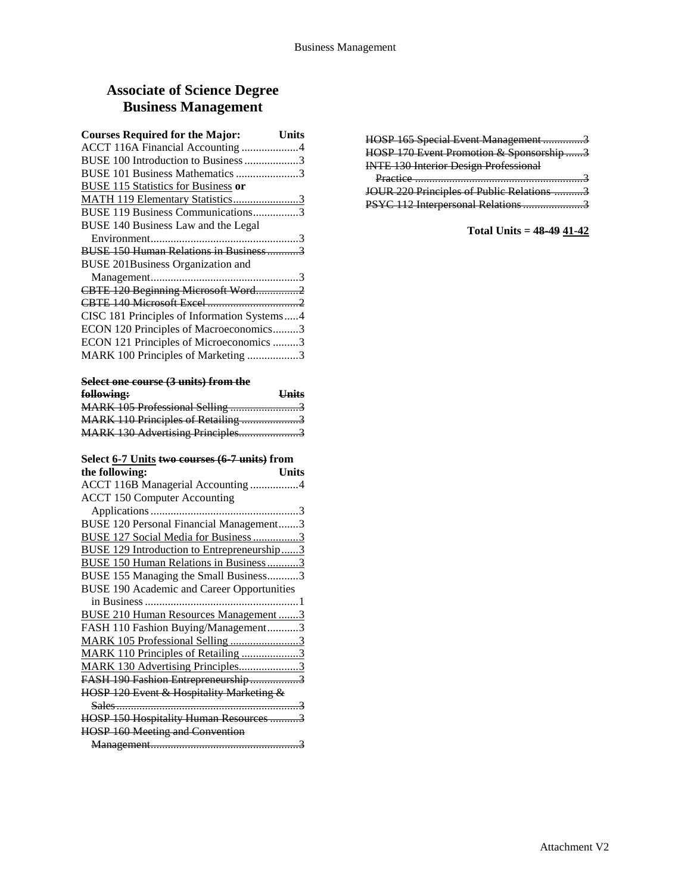# **Associate of Science Degree Business Management**

| <b>Courses Required for the Major:</b>      | Units |
|---------------------------------------------|-------|
| ACCT 116A Financial Accounting 4            |       |
| BUSE 100 Introduction to Business 3         |       |
| BUSE 101 Business Mathematics 3             |       |
| <b>BUSE 115 Statistics for Business or</b>  |       |
| MATH 119 Elementary Statistics3             |       |
| BUSE 119 Business Communications3           |       |
| BUSE 140 Business Law and the Legal         |       |
|                                             |       |
| BUSE 150 Human Relations in Business3       |       |
| <b>BUSE 201Business Organization and</b>    |       |
|                                             |       |
| CBTE 120 Beginning Microsoft Word2          |       |
|                                             |       |
| CISC 181 Principles of Information Systems4 |       |
| ECON 120 Principles of Macroeconomics3      |       |
| ECON 121 Principles of Microeconomics 3     |       |
| MARK 100 Principles of Marketing 3          |       |
|                                             |       |

| Select one course (3 units) from the |  |               |
|--------------------------------------|--|---------------|
| fallaxi <sub>na</sub>                |  | <b>H</b> nite |

| <del>IOHOWING:</del>               | UIIIts |
|------------------------------------|--------|
|                                    |        |
| MARK 110 Principles of Retailing 3 |        |
| MARK 130 Advertising Principles3   |        |
|                                    |        |

# **Select 6-7 Units two courses (6-7 units) from**

| the following:<br>Units                           |
|---------------------------------------------------|
| ACCT 116B Managerial Accounting 4                 |
| <b>ACCT 150 Computer Accounting</b>               |
|                                                   |
| BUSE 120 Personal Financial Management3           |
| BUSE 127 Social Media for Business 3              |
| <b>BUSE 129 Introduction to Entrepreneurship3</b> |
| <b>BUSE 150 Human Relations in Business3</b>      |
| BUSE 155 Managing the Small Business3             |
| <b>BUSE 190 Academic and Career Opportunities</b> |
|                                                   |
| BUSE 210 Human Resources Management3              |
| FASH 110 Fashion Buying/Management3               |
| MARK 105 Professional Selling 3                   |
| MARK 110 Principles of Retailing 3                |
| MARK 130 Advertising Principles3                  |
| FASH 190 Fashion Entrepreneurship3                |
| HOSP 120 Event & Hospitality Marketing &          |
|                                                   |
| HOSP 150 Hospitality Human Resources 3            |
| <b>HOSP 160 Meeting and Convention</b>            |
|                                                   |

| HOSP 165 Special Event Management 3          |  |
|----------------------------------------------|--|
| HOSP 170 Event Promotion & Sponsorship 3     |  |
| <b>INTE 130 Interior Design Professional</b> |  |
|                                              |  |
| $D$ ractice                                  |  |
| JOUR 220 Principles of Public Relations      |  |

# **Total Units = 48-49 41-42**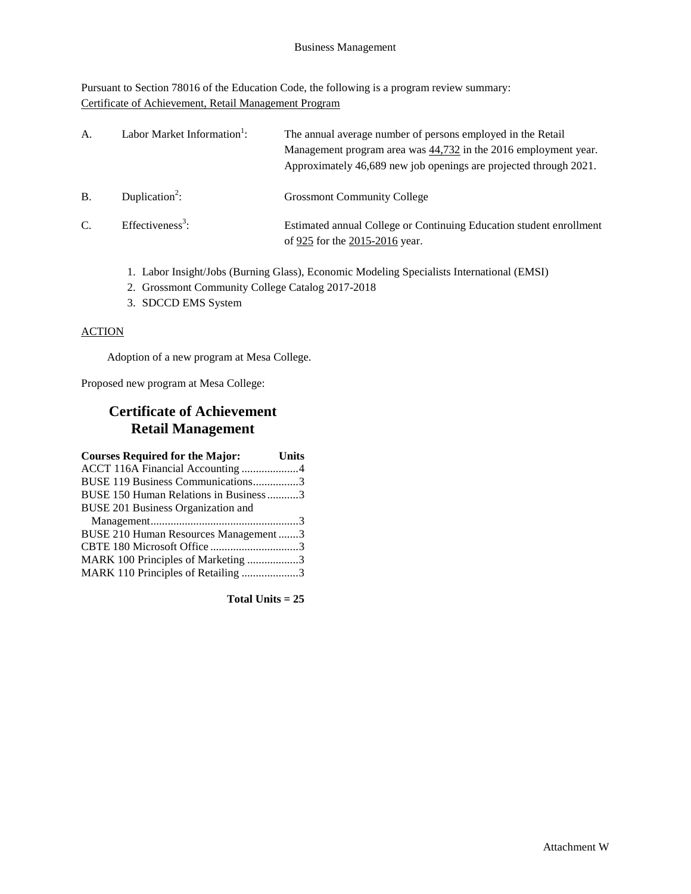Pursuant to Section 78016 of the Education Code, the following is a program review summary: Certificate of Achievement, Retail Management Program

| А.            | Labor Market Information <sup>1</sup> : | The annual average number of persons employed in the Retail<br>Management program area was 44,732 in the 2016 employment year.<br>Approximately 46,689 new job openings are projected through 2021. |
|---------------|-----------------------------------------|-----------------------------------------------------------------------------------------------------------------------------------------------------------------------------------------------------|
| B.            | Duplication <sup>2</sup> :              | <b>Grossmont Community College</b>                                                                                                                                                                  |
| $\mathcal{C}$ | Effectiveness <sup>3</sup> :            | Estimated annual College or Continuing Education student enrollment<br>of 925 for the 2015-2016 year.                                                                                               |

- 1. Labor Insight/Jobs (Burning Glass), Economic Modeling Specialists International (EMSI)
- 2. Grossmont Community College Catalog 2017-2018
- 3. SDCCD EMS System

### **ACTION**

Adoption of a new program at Mesa College.

Proposed new program at Mesa College:

# **Certificate of Achievement Retail Management**

| <b>Courses Required for the Major:</b> Units |  |
|----------------------------------------------|--|
|                                              |  |
| BUSE 119 Business Communications3            |  |
| BUSE 150 Human Relations in Business 3       |  |
| BUSE 201 Business Organization and           |  |
|                                              |  |
| BUSE 210 Human Resources Management 3        |  |
|                                              |  |
| MARK 100 Principles of Marketing 3           |  |
| MARK 110 Principles of Retailing 3           |  |
|                                              |  |

**Total Units = 25**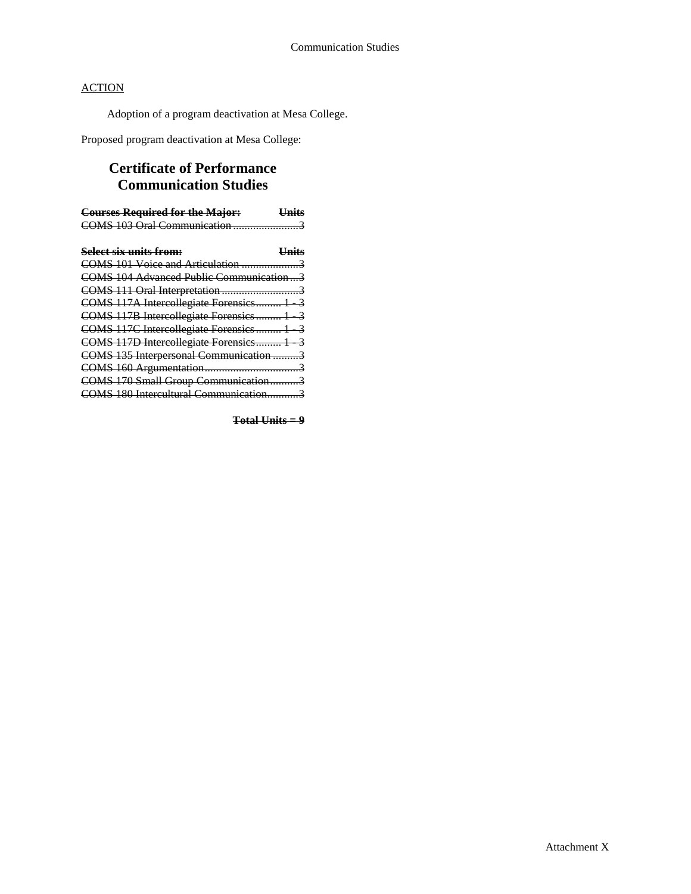Adoption of a program deactivation at Mesa College.

Proposed program deactivation at Mesa College:

# **Certificate of Performance Communication Studies**

| <b>Courses Required for the Major:</b>  | <b>Units</b> |
|-----------------------------------------|--------------|
| COMS 103 Oral Communication 3           |              |
|                                         |              |
| <b>Select six units from:</b>           | <b>Units</b> |
|                                         |              |
| COMS 104 Advanced Public Communication3 |              |
|                                         |              |
| COMS 117A Intercollegiate Forensics 1 3 |              |
| COMS 117B Intercollegiate Forensics 1 3 |              |
| COMS 117C Intercollegiate Forensics 1 3 |              |
| COMS 117D Intercollegiate Forensics 1 3 |              |
| COMS 135 Interpersonal Communication 3  |              |
|                                         |              |
| COMS 170 Small Group Communication3     |              |
| COMS 180 Intercultural Communication3   |              |

**Total Units = 9**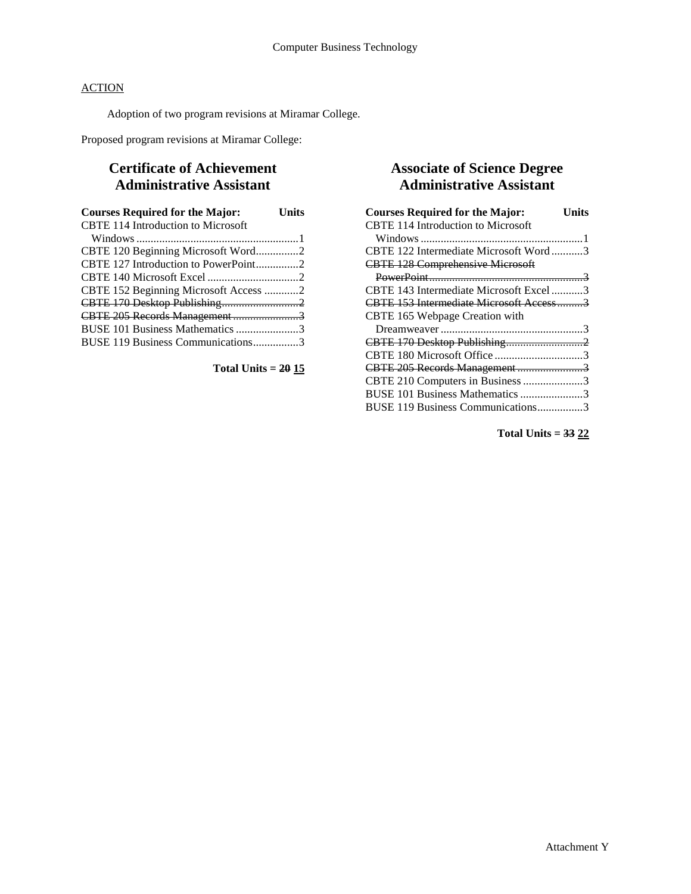Adoption of two program revisions at Miramar College.

Proposed program revisions at Miramar College:

# **Certificate of Achievement Administrative Assistant**

| <b>Courses Required for the Major:</b>    | <b>Units</b> |
|-------------------------------------------|--------------|
| <b>CBTE 114 Introduction to Microsoft</b> |              |
|                                           |              |
| CBTE 120 Beginning Microsoft Word2        |              |
| CBTE 127 Introduction to PowerPoint2      |              |
|                                           |              |
| CBTE 152 Beginning Microsoft Access 2     |              |
| CBTE 170 Desktop Publishing2              |              |
| CBTE 205 Records Management 3             |              |
| BUSE 101 Business Mathematics 3           |              |
| BUSE 119 Business Communications3         |              |

**Total Units = 20 15**

# **Associate of Science Degree Administrative Assistant**

| <b>Courses Required for the Major:</b><br>Units |
|-------------------------------------------------|
| <b>CBTE 114 Introduction to Microsoft</b>       |
|                                                 |
| CBTE 122 Intermediate Microsoft Word3           |
| <b>CBTE 128 Comprehensive Microsoft</b>         |
|                                                 |
| CBTE 143 Intermediate Microsoft Excel 3         |
| CBTE 153 Intermediate Microsoft Access3         |
| CBTE 165 Webpage Creation with                  |
|                                                 |
|                                                 |
| CBTE 180 Microsoft Office 3                     |
| CBTE 205 Records Management3                    |
| CBTE 210 Computers in Business 3                |
| BUSE 101 Business Mathematics 3                 |
| BUSE 119 Business Communications3               |

**Total Units = 33 22**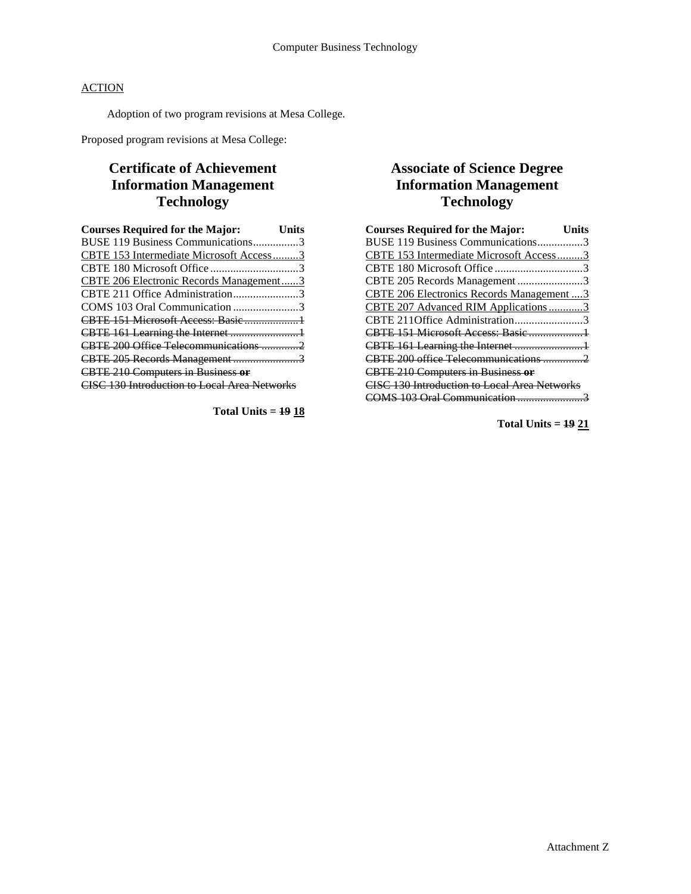Adoption of two program revisions at Mesa College.

Proposed program revisions at Mesa College:

# **Certificate of Achievement Information Management Technology**

| <b>Courses Required for the Major:</b>              | Units |
|-----------------------------------------------------|-------|
| BUSE 119 Business Communications3                   |       |
| CBTE 153 Intermediate Microsoft Access3             |       |
|                                                     |       |
| CBTE 206 Electronic Records Management3             |       |
| CBTE 211 Office Administration3                     |       |
| COMS 103 Oral Communication 3                       |       |
|                                                     |       |
|                                                     |       |
| CBTE 200 Office Telecommunications 2                |       |
| CBTE 205 Records Management3                        |       |
| <b>CBTE 210 Computers in Business or</b>            |       |
| <b>CISC 130 Introduction to Local Area Networks</b> |       |

**Total Units = 19 18**

# **Associate of Science Degree Information Management Technology**

| <b>Courses Required for the Major:</b>              | Units |
|-----------------------------------------------------|-------|
| BUSE 119 Business Communications3                   |       |
| CBTE 153 Intermediate Microsoft Access3             |       |
| CBTE 180 Microsoft Office 3                         |       |
| CBTE 205 Records Management 3                       |       |
| CBTE 206 Electronics Records Management  3          |       |
| CBTE 207 Advanced RIM Applications3                 |       |
| CBTE 211Office Administration3                      |       |
|                                                     |       |
|                                                     |       |
| CBTE 200 office Telecommunications 2                |       |
| <b>CBTE 210 Computers in Business or</b>            |       |
| <b>CISC 130 Introduction to Local Area Networks</b> |       |
| COMS 103 Oral Communication                         |       |

**Total Units = 19 21**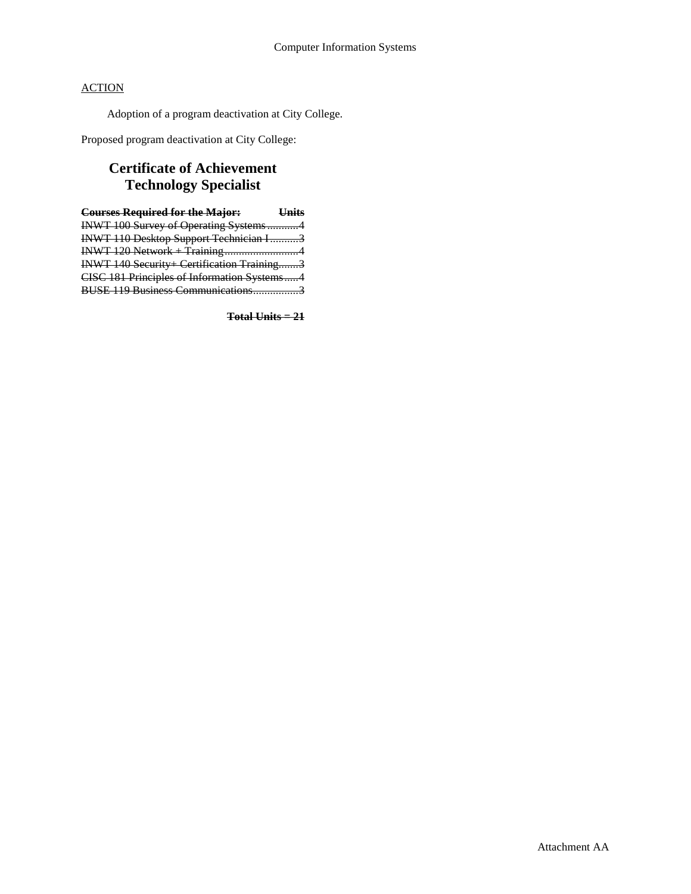Adoption of a program deactivation at City College.

Proposed program deactivation at City College:

# **Certificate of Achievement Technology Specialist**

| <b>Courses Required for the Major:</b><br><b>Units</b> |  |
|--------------------------------------------------------|--|
| INWT 100 Survey of Operating Systems4                  |  |
| <b>INWT 110 Desktop Support Technician I3</b>          |  |
| INWT 120 Network + Training4                           |  |
| INWT 140 Security+ Certification Training3             |  |
| CISC 181 Principles of Information Systems4            |  |
| BUSE 119 Business Communications3                      |  |

**Total Units = 21**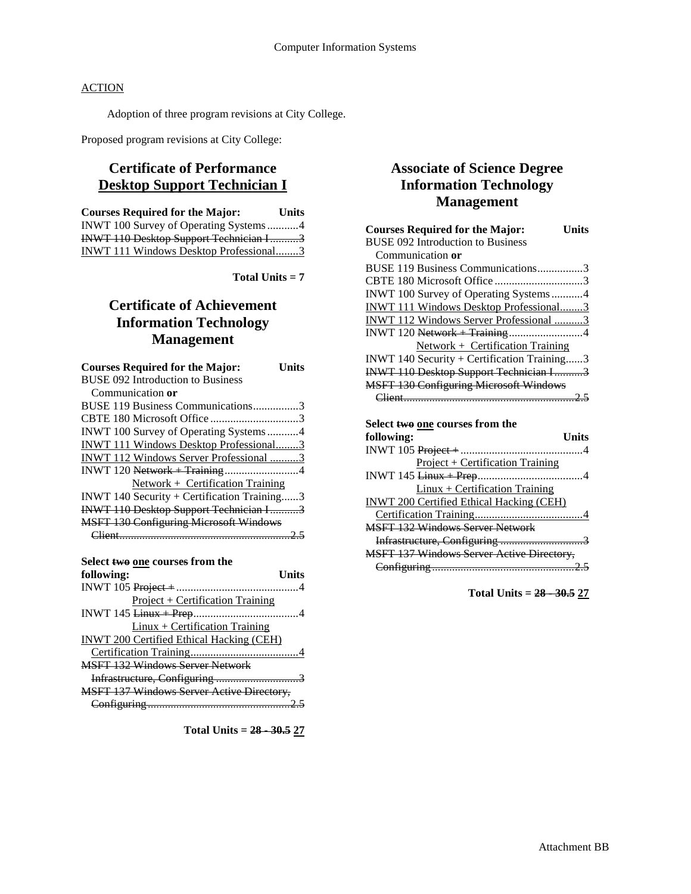Adoption of three program revisions at City College.

Proposed program revisions at City College:

# **Certificate of Performance Desktop Support Technician I**

| <b>Courses Required for the Major:</b> | <b>Units</b> |
|----------------------------------------|--------------|
| INWT 100 Survey of Operating Systems4  |              |
| INWT 110 Desktop Support Technician I3 |              |
| INWT 111 Windows Desktop Professional3 |              |

**Total Units = 7**

# **Certificate of Achievement Information Technology Management**

| <b>Courses Required for the Major:</b>        | Units |
|-----------------------------------------------|-------|
| <b>BUSE 092 Introduction to Business</b>      |       |
| Communication or                              |       |
| BUSE 119 Business Communications3             |       |
|                                               |       |
| INWT 100 Survey of Operating Systems 4        |       |
| INWT 111 Windows Desktop Professional3        |       |
| INWT 112 Windows Server Professional 3        |       |
|                                               |       |
| Network + Certification Training              |       |
| INWT 140 Security + Certification Training3   |       |
| <b>INWT 110 Desktop Support Technician I3</b> |       |
| <b>MSFT 130 Configuring Microsoft Windows</b> |       |
|                                               |       |

| Select two one courses from the                                                                                                                                                                                                                                                                                    |       |
|--------------------------------------------------------------------------------------------------------------------------------------------------------------------------------------------------------------------------------------------------------------------------------------------------------------------|-------|
|                                                                                                                                                                                                                                                                                                                    |       |
| following:                                                                                                                                                                                                                                                                                                         | Units |
|                                                                                                                                                                                                                                                                                                                    |       |
| $Project + Certification Training$                                                                                                                                                                                                                                                                                 |       |
| INWT 145 $\frac{1}{2}$ $\frac{1}{2}$ $\frac{1}{2}$ $\frac{1}{2}$ $\frac{1}{2}$ $\frac{1}{2}$ $\frac{1}{2}$ $\frac{1}{2}$ $\frac{1}{2}$ $\frac{1}{2}$ $\frac{1}{2}$ $\frac{1}{2}$ $\frac{1}{2}$ $\frac{1}{2}$ $\frac{1}{2}$ $\frac{1}{2}$ $\frac{1}{2}$ $\frac{1}{2}$ $\frac{1}{2}$ $\frac{1}{2}$ $\frac{1}{2}$ $\$ |       |
| $Linux + Certification Training$                                                                                                                                                                                                                                                                                   |       |
| <b>INWT 200 Certified Ethical Hacking (CEH)</b>                                                                                                                                                                                                                                                                    |       |
|                                                                                                                                                                                                                                                                                                                    |       |
| <b>MSFT 132 Windows Server Network</b>                                                                                                                                                                                                                                                                             |       |
| Infrastructure, Configuring 3                                                                                                                                                                                                                                                                                      |       |
| <b>MSFT 137 Windows Server Active Directory,</b>                                                                                                                                                                                                                                                                   |       |
|                                                                                                                                                                                                                                                                                                                    |       |
|                                                                                                                                                                                                                                                                                                                    |       |

**Total Units = 28 - 30.5 27**

# **Associate of Science Degree Information Technology Management**

| <b>Courses Required for the Major:</b><br>Units                                                                                                                                                                                                                                                                    |
|--------------------------------------------------------------------------------------------------------------------------------------------------------------------------------------------------------------------------------------------------------------------------------------------------------------------|
| <b>BUSE 092 Introduction to Business</b>                                                                                                                                                                                                                                                                           |
| Communication or                                                                                                                                                                                                                                                                                                   |
| BUSE 119 Business Communications3                                                                                                                                                                                                                                                                                  |
| CBTE 180 Microsoft Office 3                                                                                                                                                                                                                                                                                        |
| INWT 100 Survey of Operating Systems4                                                                                                                                                                                                                                                                              |
| INWT 111 Windows Desktop Professional3                                                                                                                                                                                                                                                                             |
| INWT 112 Windows Server Professional 3                                                                                                                                                                                                                                                                             |
|                                                                                                                                                                                                                                                                                                                    |
| Network + Certification Training                                                                                                                                                                                                                                                                                   |
| INWT 140 Security + Certification Training3                                                                                                                                                                                                                                                                        |
| <b>INWT 110 Desktop Support Technician I3</b>                                                                                                                                                                                                                                                                      |
| <b>MSFT 130 Configuring Microsoft Windows</b>                                                                                                                                                                                                                                                                      |
|                                                                                                                                                                                                                                                                                                                    |
|                                                                                                                                                                                                                                                                                                                    |
| Select <del>two</del> one courses from the                                                                                                                                                                                                                                                                         |
| following:<br>Units                                                                                                                                                                                                                                                                                                |
|                                                                                                                                                                                                                                                                                                                    |
|                                                                                                                                                                                                                                                                                                                    |
| <b>Project + Certification Training</b>                                                                                                                                                                                                                                                                            |
| INWT 145 $\frac{1}{2}$ $\frac{1}{2}$ $\frac{1}{2}$ $\frac{1}{2}$ $\frac{1}{2}$ $\frac{1}{2}$ $\frac{1}{2}$ $\frac{1}{2}$ $\frac{1}{2}$ $\frac{1}{2}$ $\frac{1}{2}$ $\frac{1}{2}$ $\frac{1}{2}$ $\frac{1}{2}$ $\frac{1}{2}$ $\frac{1}{2}$ $\frac{1}{2}$ $\frac{1}{2}$ $\frac{1}{2}$ $\frac{1}{2}$ $\frac{1}{2}$ $\$ |
| $Linux + Certification Training$                                                                                                                                                                                                                                                                                   |
| <b>INWT 200 Certified Ethical Hacking (CEH)</b>                                                                                                                                                                                                                                                                    |
|                                                                                                                                                                                                                                                                                                                    |
| <b>MSFT 132 Windows Server Network</b>                                                                                                                                                                                                                                                                             |
| Infrastructure, Configuring 3                                                                                                                                                                                                                                                                                      |

MSFT 137 Windows Server Active Directory, Configuring ..................................................2.5

**Total Units = 28 - 30.5 27**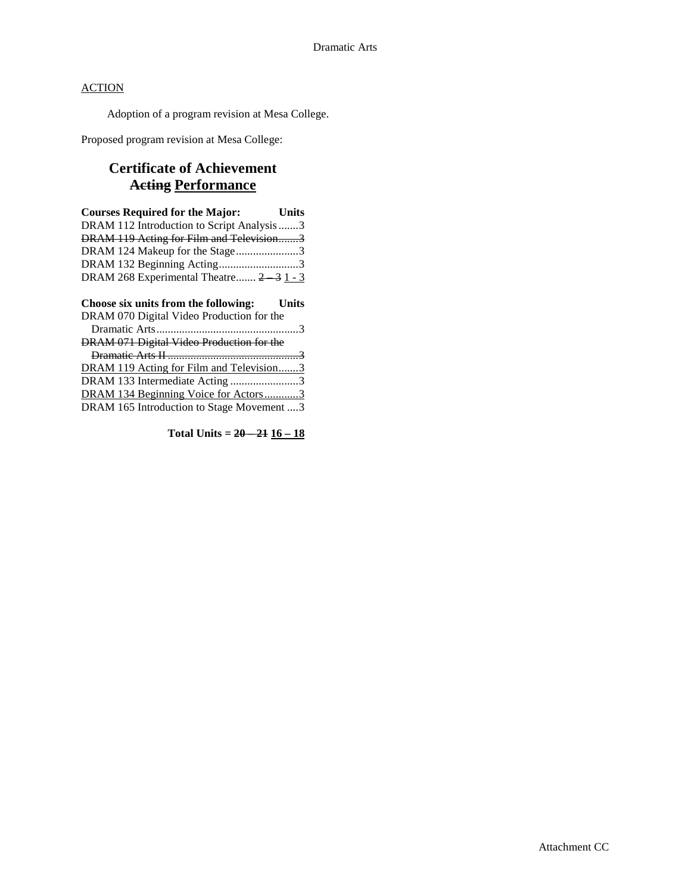Adoption of a program revision at Mesa College.

Proposed program revision at Mesa College:

# **Certificate of Achievement Acting Performance**

| <b>Courses Required for the Major:</b><br><b>Example 1</b> |  |
|------------------------------------------------------------|--|
| DRAM 112 Introduction to Script Analysis 3                 |  |
| DRAM 119 Acting for Film and Television3                   |  |
| DRAM 124 Makeup for the Stage3                             |  |
| DRAM 132 Beginning Acting3                                 |  |
| DRAM 268 Experimental Theatre 2 3 1 - 3                    |  |

| Choose six units from the following: Units |  |
|--------------------------------------------|--|
| DRAM 070 Digital Video Production for the  |  |
|                                            |  |
| DRAM 071 Digital Video Production for the  |  |
|                                            |  |
| DRAM 119 Acting for Film and Television3   |  |
| DRAM 133 Intermediate Acting 3             |  |
| DRAM 134 Beginning Voice for Actors3       |  |
| DRAM 165 Introduction to Stage Movement 3  |  |

**Total Units =**  $20 - 21$  $16 - 18$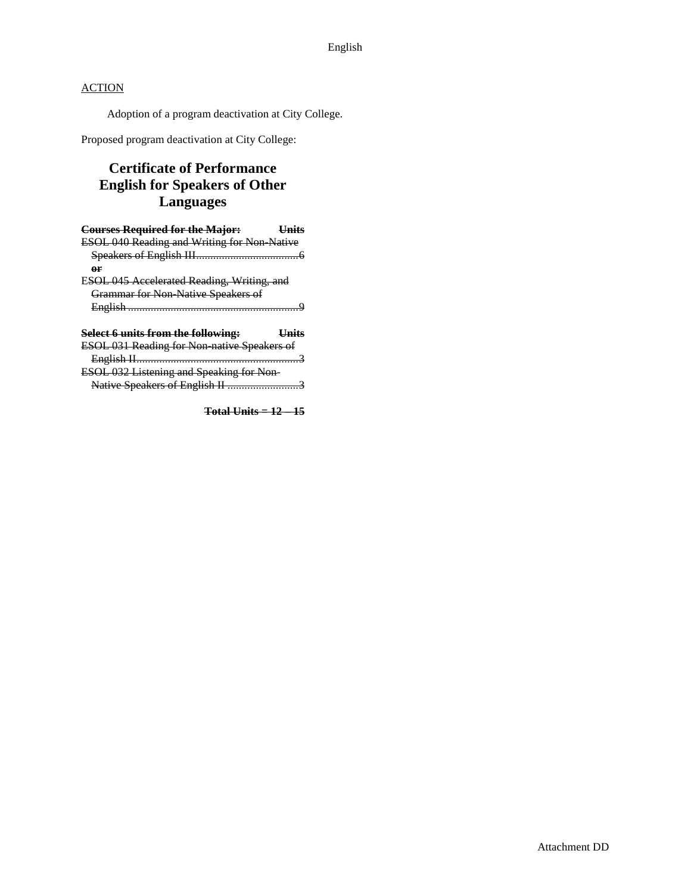Adoption of a program deactivation at City College.

Proposed program deactivation at City College:

# **Certificate of Performance English for Speakers of Other Languages**

| <b>Courses Required for the Major:</b>             | – <del>Unit</del> s |
|----------------------------------------------------|---------------------|
| <b>ESOL 040 Reading and Writing for Non Native</b> |                     |
|                                                    |                     |
| or                                                 |                     |
| ESOL 045 Accelerated Reading, Writing, and         |                     |
| Grammar for Non-Native Speakers of                 |                     |
|                                                    |                     |
| Select 6 units from the following:                 | <b>Hnits</b>        |
|                                                    |                     |
| ESOL 031 Reading for Non-native Speakers of        |                     |

English II.........................................................3 ESOL 032 Listening and Speaking for Non-Native Speakers of English II .............................3

**Total Units = 12 – 15**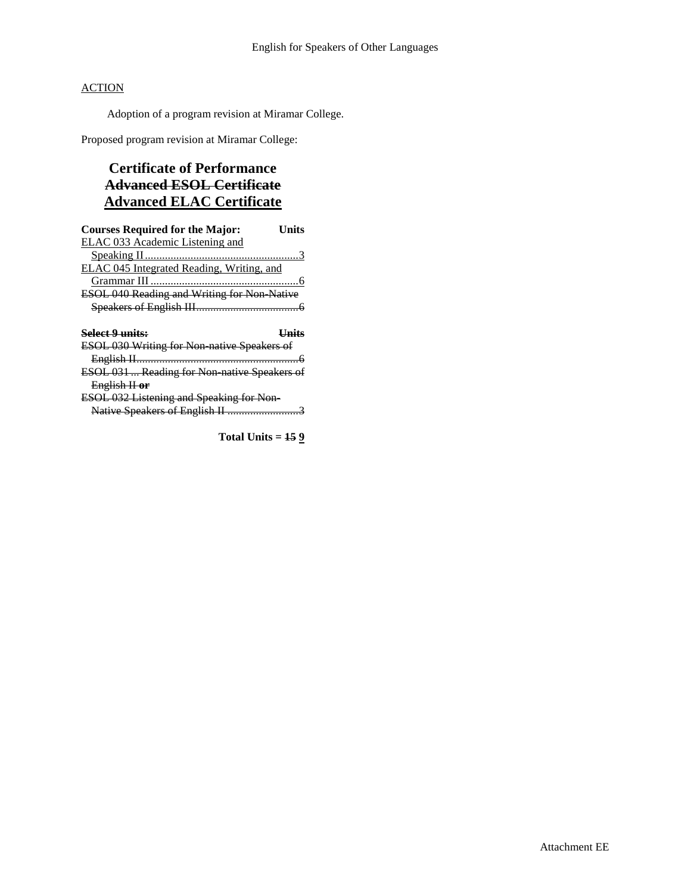Adoption of a program revision at Miramar College.

Proposed program revision at Miramar College:

# **Certificate of Performance Advanced ESOL Certificate Advanced ELAC Certificate**

| <b>Courses Required for the Major:</b>              | Units        |
|-----------------------------------------------------|--------------|
| ELAC 033 Academic Listening and                     |              |
|                                                     |              |
| ELAC 045 Integrated Reading, Writing, and           |              |
|                                                     |              |
| <b>ESOL 040 Reading and Writing for Non Native</b>  |              |
|                                                     |              |
|                                                     |              |
|                                                     |              |
| <b>Select 9 units:</b>                              | <u>Units</u> |
| <b>ESOL 030 Writing for Non native Speakers of</b>  |              |
|                                                     |              |
| <b>ESOL 031  Reading for Non native Speakers of</b> |              |
| English II or                                       |              |
| <b>ESOL 032 Listening and Speaking for Non-</b>     |              |

**Total Units = 15 9**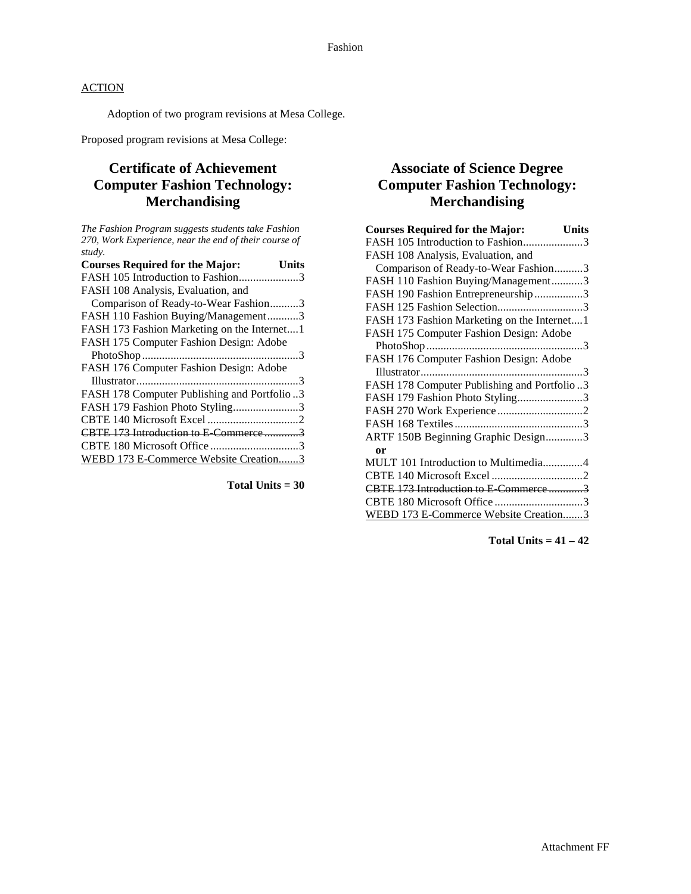Adoption of two program revisions at Mesa College.

Proposed program revisions at Mesa College:

# **Certificate of Achievement Computer Fashion Technology: Merchandising**

*The Fashion Program suggests students take Fashion 270, Work Experience, near the end of their course of study.*

| <b>Courses Required for the Major:</b><br>Units |
|-------------------------------------------------|
| FASH 105 Introduction to Fashion3               |
| FASH 108 Analysis, Evaluation, and              |
| Comparison of Ready-to-Wear Fashion3            |
| FASH 110 Fashion Buying/Management3             |
| FASH 173 Fashion Marketing on the Internet1     |
| FASH 175 Computer Fashion Design: Adobe         |
|                                                 |
| FASH 176 Computer Fashion Design: Adobe         |
|                                                 |
| FASH 178 Computer Publishing and Portfolio3     |
| FASH 179 Fashion Photo Styling3                 |
|                                                 |
| CBTE 173 Introduction to E Commerce3            |
|                                                 |
| WEBD 173 E-Commerce Website Creation3           |

**Total Units = 30**

# **Associate of Science Degree Computer Fashion Technology: Merchandising**

| <b>Courses Required for the Major:</b><br><b>Units</b> |
|--------------------------------------------------------|
| FASH 105 Introduction to Fashion3                      |
| FASH 108 Analysis, Evaluation, and                     |
| Comparison of Ready-to-Wear Fashion3                   |
| FASH 110 Fashion Buying/Management3                    |
| FASH 190 Fashion Entrepreneurship3                     |
| FASH 125 Fashion Selection3                            |
| FASH 173 Fashion Marketing on the Internet1            |
| FASH 175 Computer Fashion Design: Adobe                |
|                                                        |
| FASH 176 Computer Fashion Design: Adobe                |
|                                                        |
| FASH 178 Computer Publishing and Portfolio3            |
| FASH 179 Fashion Photo Styling3                        |
|                                                        |
|                                                        |
| ARTF 150B Beginning Graphic Design3                    |
| <b>or</b>                                              |
| MULT 101 Introduction to Multimedia4                   |
|                                                        |
| CBTE 173 Introduction to E-Commerce3                   |
| CBTE 180 Microsoft Office 3                            |
| WEBD 173 E-Commerce Website Creation3                  |

**Total Units = 41 – 42**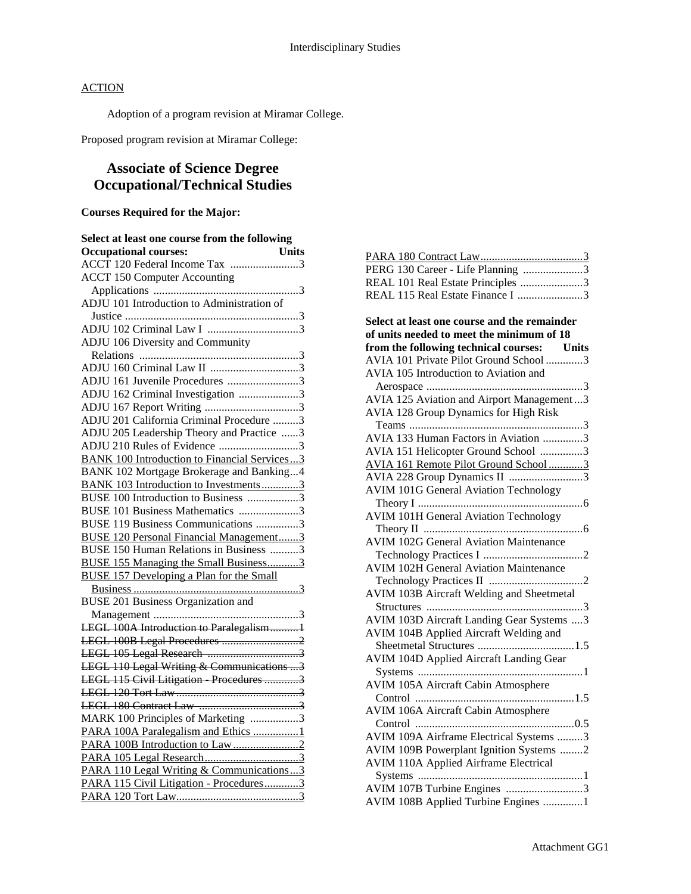Adoption of a program revision at Miramar College.

Proposed program revision at Miramar College:

# **Associate of Science Degree Occupational/Technical Studies**

### **Courses Required for the Major:**

| Select at least one course from the following<br><b>Units</b><br><b>Occupational courses:</b> |
|-----------------------------------------------------------------------------------------------|
| ACCT 120 Federal Income Tax 3                                                                 |
| <b>ACCT 150 Computer Accounting</b>                                                           |
|                                                                                               |
| ADJU 101 Introduction to Administration of                                                    |
|                                                                                               |
|                                                                                               |
| ADJU 106 Diversity and Community                                                              |
|                                                                                               |
|                                                                                               |
| ADJU 161 Juvenile Procedures 3                                                                |
| ADJU 162 Criminal Investigation 3                                                             |
|                                                                                               |
| ADJU 201 California Criminal Procedure 3                                                      |
| ADJU 205 Leadership Theory and Practice 3                                                     |
| ADJU 210 Rules of Evidence 3                                                                  |
| <b>BANK 100 Introduction to Financial Services3</b>                                           |
| BANK 102 Mortgage Brokerage and Banking4                                                      |
| <b>BANK 103 Introduction to Investments3</b>                                                  |
| BUSE 100 Introduction to Business 3                                                           |
| BUSE 101 Business Mathematics 3                                                               |
| BUSE 119 Business Communications 3                                                            |
| <b>BUSE 120 Personal Financial Management3</b>                                                |
| BUSE 150 Human Relations in Business 3                                                        |
| <b>BUSE 155 Managing the Small Business3</b>                                                  |
| <b>BUSE 157 Developing a Plan for the Small</b>                                               |
|                                                                                               |
| <b>BUSE 201 Business Organization and</b>                                                     |
|                                                                                               |
| LEGL 100A Introduction to Paralegalism1                                                       |
| LEGL 100B Legal Procedures 2                                                                  |
|                                                                                               |
| LEGL 110 Legal Writing & Communications 3                                                     |
| LEGL 115 Civil Litigation Procedures 3                                                        |
|                                                                                               |
|                                                                                               |
| MARK 100 Principles of Marketing 3                                                            |
| PARA 100A Paralegalism and Ethics 1                                                           |
|                                                                                               |
|                                                                                               |
| PARA 110 Legal Writing & Communications3                                                      |
| PARA 115 Civil Litigation - Procedures3                                                       |
|                                                                                               |

| PERG 130 Career - Life Planning 3 |
|-----------------------------------|
| REAL 101 Real Estate Principles 3 |
| REAL 115 Real Estate Finance I 3  |

| Select at least one course and the remainder   |
|------------------------------------------------|
| of units needed to meet the minimum of 18      |
| from the following technical courses: Units    |
| AVIA 101 Private Pilot Ground School 3         |
| AVIA 105 Introduction to Aviation and          |
|                                                |
| AVIA 125 Aviation and Airport Management3      |
| AVIA 128 Group Dynamics for High Risk          |
|                                                |
| AVIA 133 Human Factors in Aviation 3           |
| AVIA 151 Helicopter Ground School 3            |
| AVIA 161 Remote Pilot Ground School3           |
| AVIA 228 Group Dynamics II 3                   |
| <b>AVIM 101G General Aviation Technology</b>   |
|                                                |
| <b>AVIM 101H General Aviation Technology</b>   |
|                                                |
| <b>AVIM 102G General Aviation Maintenance</b>  |
|                                                |
| <b>AVIM 102H General Aviation Maintenance</b>  |
|                                                |
| AVIM 103B Aircraft Welding and Sheetmetal      |
|                                                |
| AVIM 103D Aircraft Landing Gear Systems 3      |
| AVIM 104B Applied Aircraft Welding and         |
|                                                |
| <b>AVIM 104D Applied Aircraft Landing Gear</b> |
|                                                |
| <b>AVIM 105A Aircraft Cabin Atmosphere</b>     |
|                                                |
| <b>AVIM 106A Aircraft Cabin Atmosphere</b>     |
|                                                |
| AVIM 109A Airframe Electrical Systems 3        |
| AVIM 109B Powerplant Ignition Systems 2        |
| <b>AVIM 110A Applied Airframe Electrical</b>   |
|                                                |
| AVIM 107B Turbine Engines 3                    |
| AVIM 108B Applied Turbine Engines 1            |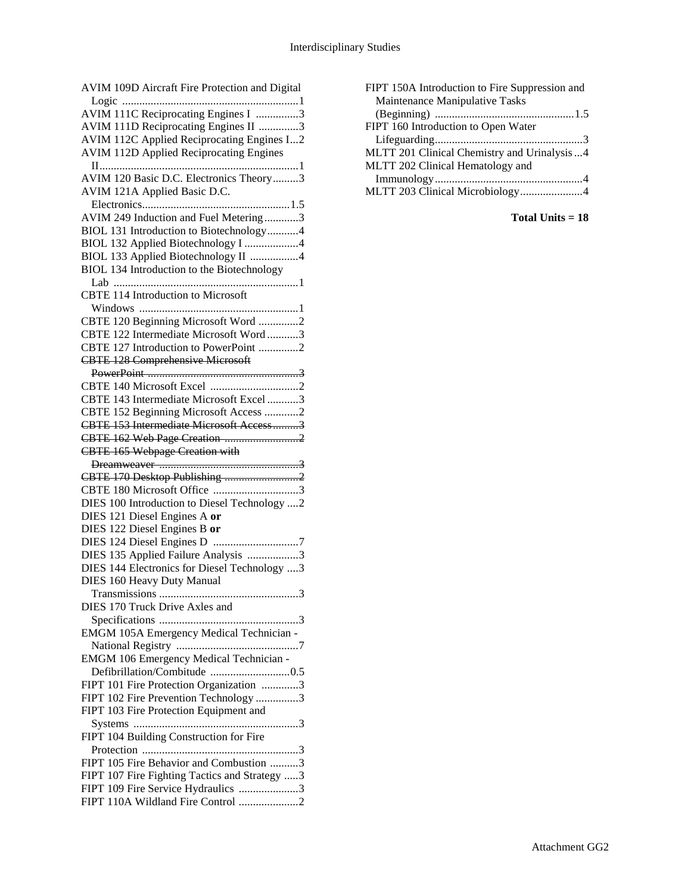| AVIM 109D Aircraft Fire Protection and Digital                          |
|-------------------------------------------------------------------------|
|                                                                         |
| AVIM 111C Reciprocating Engines I 3                                     |
| AVIM 111D Reciprocating Engines II 3                                    |
| AVIM 112C Applied Reciprocating Engines I2                              |
| <b>AVIM 112D Applied Reciprocating Engines</b>                          |
|                                                                         |
| AVIM 120 Basic D.C. Electronics Theory3                                 |
| AVIM 121A Applied Basic D.C.                                            |
|                                                                         |
| AVIM 249 Induction and Fuel Metering3                                   |
| BIOL 131 Introduction to Biotechnology4                                 |
| BIOL 132 Applied Biotechnology I 4                                      |
| BIOL 133 Applied Biotechnology II 4                                     |
| BIOL 134 Introduction to the Biotechnology                              |
|                                                                         |
| <b>CBTE 114 Introduction to Microsoft</b>                               |
|                                                                         |
| CBTE 120 Beginning Microsoft Word 2                                     |
| CBTE 122 Intermediate Microsoft Word3                                   |
| CBTE 127 Introduction to PowerPoint 2                                   |
| <b>CBTE 128 Comprehensive Microsoft</b>                                 |
|                                                                         |
|                                                                         |
| CBTE 143 Intermediate Microsoft Excel 3                                 |
| CBTE 152 Beginning Microsoft Access 2                                   |
| CBTE 153 Intermediate Microsoft Access3                                 |
| CBTE 162 Web Page Creation 2                                            |
|                                                                         |
|                                                                         |
| <b>CBTE 165 Webpage Creation with</b>                                   |
|                                                                         |
| CBTE 170 Desktop Publishing 2                                           |
| CBTE 180 Microsoft Office 3                                             |
| DIES 100 Introduction to Diesel Technology 2                            |
| DIES 121 Diesel Engines A or                                            |
| DIES 122 Diesel Engines B or                                            |
|                                                                         |
| DIES 135 Applied Failure Analysis 3                                     |
| DIES 144 Electronics for Diesel Technology 3                            |
| <b>DIES 160 Heavy Duty Manual</b>                                       |
|                                                                         |
| DIES 170 Truck Drive Axles and                                          |
|                                                                         |
| EMGM 105A Emergency Medical Technician -                                |
|                                                                         |
| <b>EMGM 106 Emergency Medical Technician -</b>                          |
|                                                                         |
| FIPT 101 Fire Protection Organization 3                                 |
| FIPT 102 Fire Prevention Technology 3                                   |
| FIPT 103 Fire Protection Equipment and                                  |
|                                                                         |
| FIPT 104 Building Construction for Fire                                 |
|                                                                         |
| FIPT 105 Fire Behavior and Combustion 3                                 |
| FIPT 107 Fire Fighting Tactics and Strategy 3                           |
| FIPT 109 Fire Service Hydraulics 3<br>FIPT 110A Wildland Fire Control 2 |

| FIPT 150A Introduction to Fire Suppression and |
|------------------------------------------------|
| Maintenance Manipulative Tasks                 |
|                                                |
| FIPT 160 Introduction to Open Water            |
|                                                |
| MLTT 201 Clinical Chemistry and Urinalysis4    |
| MLTT 202 Clinical Hematology and               |
|                                                |
| MLTT 203 Clinical Microbiology4                |

**Total Units = 18**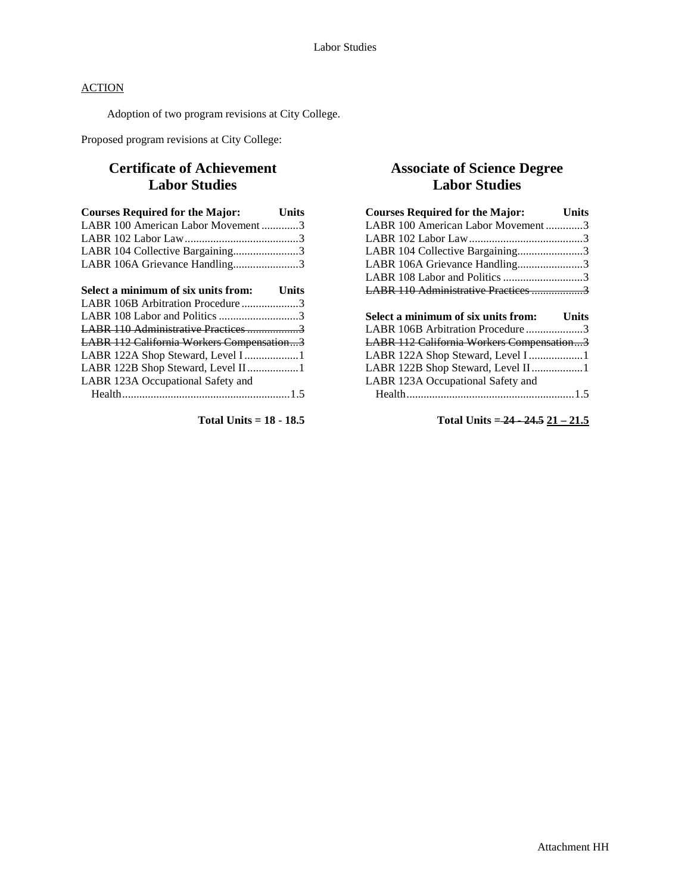Adoption of two program revisions at City College.

Proposed program revisions at City College:

# **Certificate of Achievement Labor Studies**

| <b>Courses Required for the Major:</b> Units |  |
|----------------------------------------------|--|
| LABR 100 American Labor Movement3            |  |
|                                              |  |
| LABR 104 Collective Bargaining3              |  |
| LABR 106A Grievance Handling3                |  |

| Select a minimum of six units from: Units |  |
|-------------------------------------------|--|
| LABR 106B Arbitration Procedure3          |  |
|                                           |  |
| LABR 110 Administrative Practices 3       |  |
| LABR 112 California Workers Compensation3 |  |
|                                           |  |
| LABR 122B Shop Steward, Level II1         |  |
| LABR 123A Occupational Safety and         |  |
|                                           |  |
|                                           |  |

**Total Units = 18 - 18.5**

# **Associate of Science Degree Labor Studies**

| <b>Courses Required for the Major:</b>    | Units |
|-------------------------------------------|-------|
| LABR 100 American Labor Movement3         |       |
|                                           |       |
| LABR 104 Collective Bargaining3           |       |
| LABR 106A Grievance Handling3             |       |
| LABR 108 Labor and Politics 3             |       |
| LABR 110 Administrative Practices 3       |       |
|                                           |       |
|                                           |       |
| Select a minimum of six units from: Units |       |
| LABR 106B Arbitration Procedure3          |       |
| LABR 112 California Workers Compensation3 |       |
| LABR 122A Shop Steward, Level I 1         |       |
| LABR 122B Shop Steward, Level II1         |       |
| LABR 123A Occupational Safety and         |       |

**Total Units = 24 - 24.5 21 – 21.5**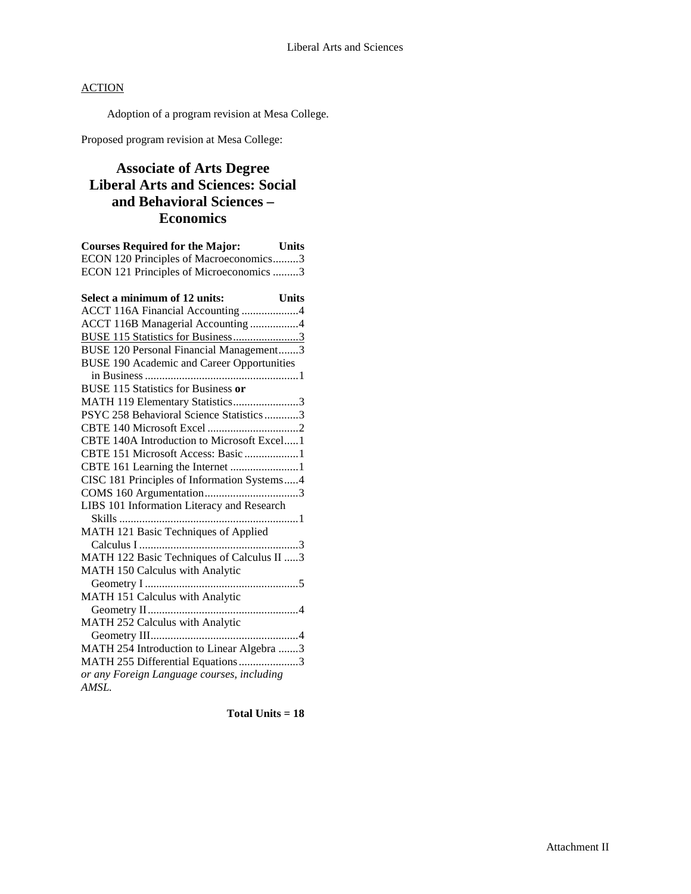Adoption of a program revision at Mesa College.

Proposed program revision at Mesa College:

# **Associate of Arts Degree Liberal Arts and Sciences: Social and Behavioral Sciences – Economics**

| <b>Courses Required for the Major:</b> Units                            |
|-------------------------------------------------------------------------|
| ECON 120 Principles of Macroeconomics3                                  |
| ECON 121 Principles of Microeconomics 3                                 |
| Select a minimum of 12 units:<br><b>Units</b>                           |
| Select a minimum of 12 units: Units<br>ACCT 116A Financial Accounting 4 |
| ACCT 116B Managerial Accounting 4                                       |
| BUSE 115 Statistics for Business3                                       |
| BUSE 120 Personal Financial Management3                                 |
| <b>BUSE 190 Academic and Career Opportunities</b>                       |
|                                                                         |
| <b>BUSE 115 Statistics for Business or</b>                              |
| MATH 119 Elementary Statistics3                                         |
| PSYC 258 Behavioral Science Statistics3                                 |
|                                                                         |
| CBTE 140A Introduction to Microsoft Excel1                              |
| CBTE 151 Microsoft Access: Basic 1                                      |
| CBTE 161 Learning the Internet 1                                        |
| CISC 181 Principles of Information Systems4                             |
|                                                                         |
| LIBS 101 Information Literacy and Research                              |
|                                                                         |
| MATH 121 Basic Techniques of Applied                                    |
|                                                                         |
| MATH 122 Basic Techniques of Calculus II 3                              |
| MATH 150 Calculus with Analytic                                         |
|                                                                         |
| MATH 151 Calculus with Analytic                                         |
|                                                                         |
| MATH 252 Calculus with Analytic                                         |
|                                                                         |
| MATH 254 Introduction to Linear Algebra 3                               |
| MATH 255 Differential Equations3                                        |
| or any Foreign Language courses, including                              |
| AMSL.                                                                   |

**Total Units = 18**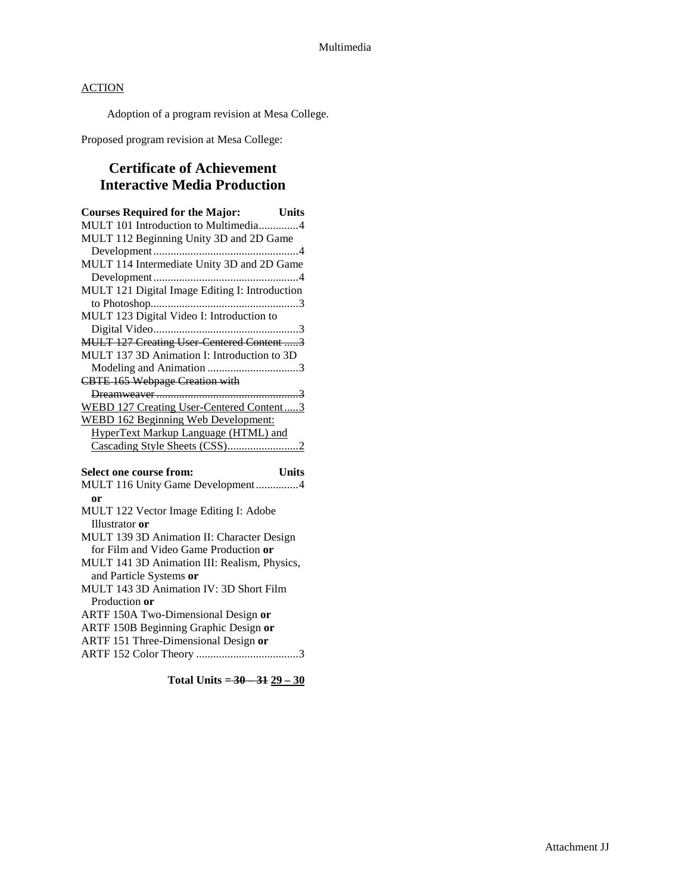Adoption of a program revision at Mesa College.

Proposed program revision at Mesa College:

# **Certificate of Achievement Interactive Media Production**

| <b>Courses Required for the Major:</b> Units                                                        |
|-----------------------------------------------------------------------------------------------------|
| MULT 101 Introduction to Multimedia4                                                                |
| MULT 112 Beginning Unity 3D and 2D Game                                                             |
|                                                                                                     |
| MULT 114 Intermediate Unity 3D and 2D Game                                                          |
|                                                                                                     |
| MULT 121 Digital Image Editing I: Introduction                                                      |
|                                                                                                     |
| MULT 123 Digital Video I: Introduction to                                                           |
|                                                                                                     |
| <b>MULT 127 Creating User Centered Content 3</b>                                                    |
| MULT 137 3D Animation I: Introduction to 3D                                                         |
|                                                                                                     |
| <b>CBTE 165 Webpage Creation with</b>                                                               |
|                                                                                                     |
| WEBD 127 Creating User-Centered Content3                                                            |
| <b>WEBD 162 Beginning Web Development:</b>                                                          |
| HyperText Markup Language (HTML) and                                                                |
|                                                                                                     |
|                                                                                                     |
| Select one course from:<br><b>Units</b>                                                             |
| MULT 116 Unity Game Development4                                                                    |
| or                                                                                                  |
| MULT 122 Vector Image Editing I: Adobe                                                              |
| Illustrator or                                                                                      |
| MULT 139 3D Animation II: Character Design                                                          |
| for Film and Video Game Production or                                                               |
| MITT $T_1$ 141.2 $D_1$ A $\cdots$ $\cdots$ $\cdots$ $\cdots$ $\cdots$ $\cdots$ $D_2$ $\cdots$ $D_3$ |

- MULT 141 3D Animation III: Realism, Physics, and Particle Systems **or**
- MULT 143 3D Animation IV: 3D Short Film Production **or**
- ARTF 150A Two-Dimensional Design **or**
- ARTF 150B Beginning Graphic Design **or**
- ARTF 151 Three-Dimensional Design **or**
- ARTF 152 Color Theory ....................................3

**Total Units = 30 – 31 29 – 30**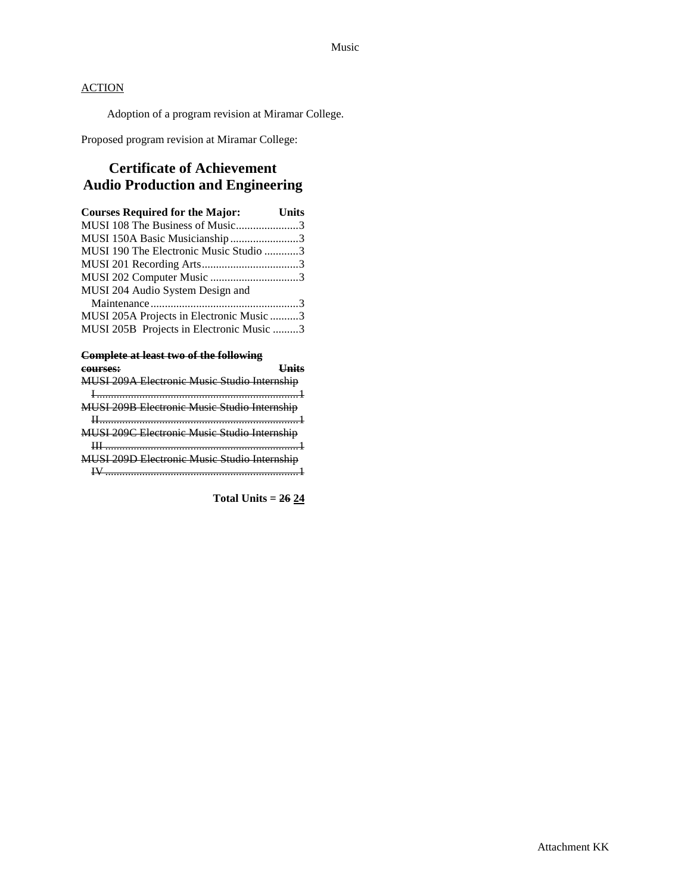Adoption of a program revision at Miramar College.

Proposed program revision at Miramar College:

# **Certificate of Achievement Audio Production and Engineering**

| <b>Courses Required for the Major:</b> Units |  |
|----------------------------------------------|--|
| MUSI 108 The Business of Music3              |  |
| MUSI 150A Basic Musicianship3                |  |
| MUSI 190 The Electronic Music Studio 3       |  |
|                                              |  |
| MUSI 202 Computer Music 3                    |  |
| MUSI 204 Audio System Design and             |  |
|                                              |  |
| MUSI 205A Projects in Electronic Music 3     |  |
| MUSI 205B Projects in Electronic Music 3     |  |
|                                              |  |

### **Complete at least two of the following**

| courses:                                     |  |
|----------------------------------------------|--|
|                                              |  |
|                                              |  |
| MUSI 209B Electronic Music Studio Internship |  |
|                                              |  |
| MUSI 209C Electronic Music Studio Internship |  |
|                                              |  |
| MUSI 209D Electronic Music Studio Internship |  |
|                                              |  |
|                                              |  |

**Total Units = 26 24**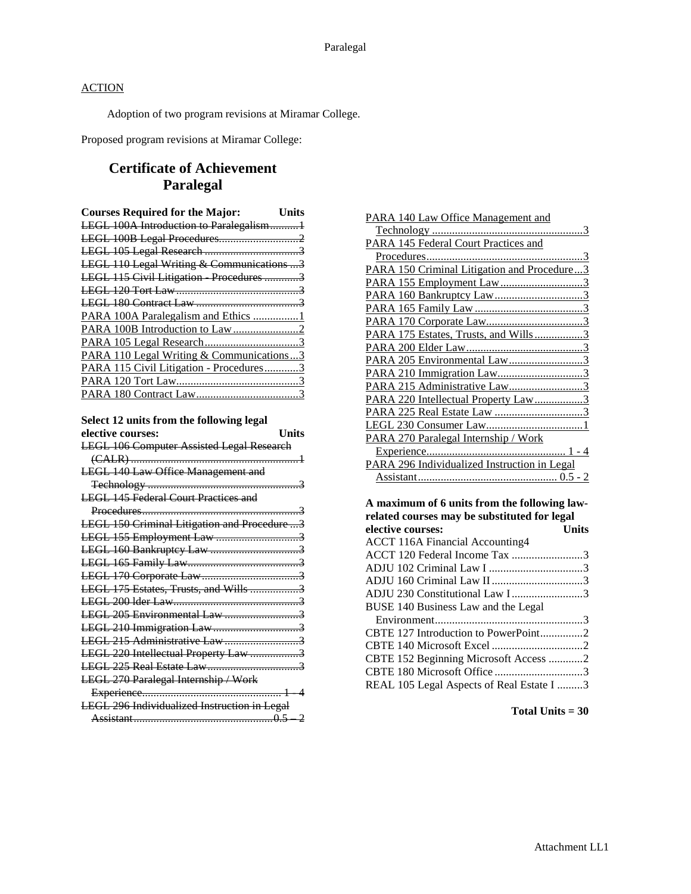Adoption of two program revisions at Miramar College.

Proposed program revisions at Miramar College:

# **Certificate of Achievement Paralegal**

| <b>Courses Required for the Major:</b>    | Units |
|-------------------------------------------|-------|
| LEGL 100A Introduction to Paralegalism1   |       |
|                                           |       |
|                                           |       |
| LEGL 110 Legal Writing & Communications 3 |       |
| LEGL 115 Civil Litigation Procedures 3    |       |
|                                           |       |
|                                           |       |
| PARA 100A Paralegalism and Ethics 1       |       |
|                                           |       |
|                                           |       |
| PARA 110 Legal Writing & Communications3  |       |
| PARA 115 Civil Litigation - Procedures3   |       |
|                                           |       |
|                                           |       |

# **Select 12 units from the following legal**

| elective courses:                                | <b>Units</b> |
|--------------------------------------------------|--------------|
| <b>LEGL 106 Computer Assisted Legal Research</b> |              |
|                                                  |              |
| <b>LEGL 140 Law Office Management and</b>        |              |
|                                                  |              |
| <b>LEGL 145 Federal Court Practices and</b>      |              |
|                                                  |              |
| LEGL 150 Criminal Litigation and Procedure 3     |              |
| LEGL 155 Employment Law 3                        |              |
|                                                  |              |
|                                                  |              |
|                                                  |              |
| LEGL 175 Estates, Trusts, and Wills 3            |              |
|                                                  |              |
| LEGL 205 Environmental Law 3                     |              |
|                                                  |              |
| LEGL 215 Administrative Law3                     |              |
| LEGL 220 Intellectual Property Law 3             |              |
|                                                  |              |
| <b>LEGL 270 Paralegal Internship / Work</b>      |              |
|                                                  |              |
| LEGL 296 Individualized Instruction in Legal     |              |
|                                                  |              |

| PARA 140 Law Office Management and           |
|----------------------------------------------|
|                                              |
| PARA 145 Federal Court Practices and         |
|                                              |
| PARA 150 Criminal Litigation and Procedure3  |
| PARA 155 Employment Law3                     |
| PARA 160 Bankruptcy Law3                     |
|                                              |
|                                              |
| PARA 175 Estates, Trusts, and Wills3         |
|                                              |
| PARA 205 Environmental Law3                  |
| PARA 210 Immigration Law3                    |
| PARA 215 Administrative Law3                 |
| PARA 220 Intellectual Property Law3          |
|                                              |
|                                              |
| PARA 270 Paralegal Internship / Work         |
|                                              |
| PARA 296 Individualized Instruction in Legal |
|                                              |

**A maximum of 6 units from the following lawrelated courses may be substituted for legal<br>
<u>elective courses</u>: Units elective courses:** 

| GIGLITE COULSES.                          | <b>UMB</b> |
|-------------------------------------------|------------|
| ACCT 116A Financial Accounting4           |            |
| ACCT 120 Federal Income Tax 3             |            |
|                                           |            |
|                                           |            |
| ADJU 230 Constitutional Law I3            |            |
| BUSE 140 Business Law and the Legal       |            |
|                                           |            |
|                                           |            |
|                                           |            |
| CBTE 152 Beginning Microsoft Access 2     |            |
|                                           |            |
| REAL 105 Legal Aspects of Real Estate I 3 |            |
|                                           |            |

**Total Units = 30**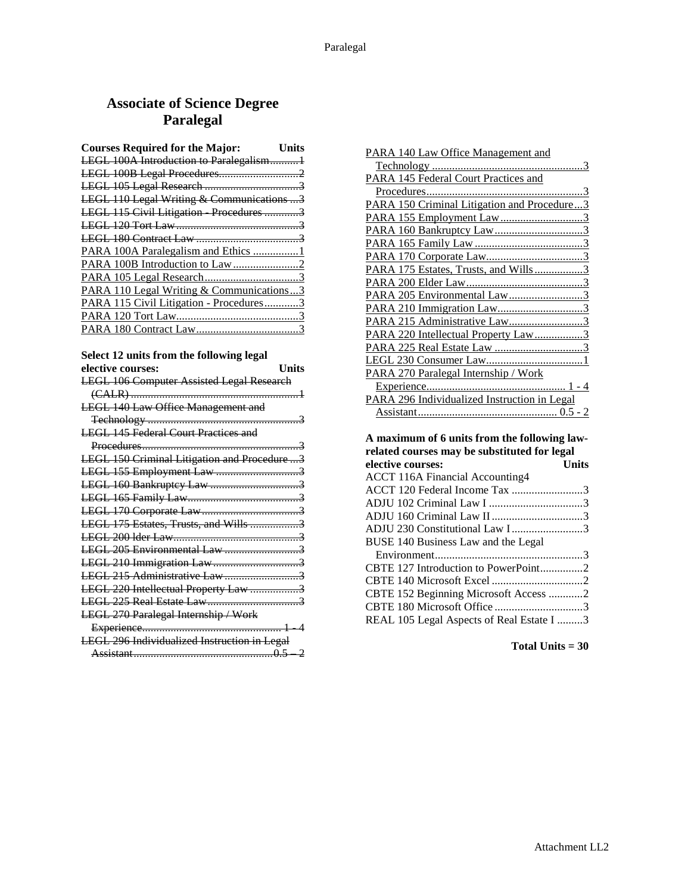# **Associate of Science Degree Paralegal**

| <b>Courses Required for the Major:</b>    | <b>Units</b> |
|-------------------------------------------|--------------|
| LEGL 100A Introduction to Paralegalism1   |              |
|                                           |              |
|                                           |              |
| LEGL 110 Legal Writing & Communications 3 |              |
| LEGL 115 Civil Litigation Procedures 3    |              |
|                                           |              |
|                                           |              |
| PARA 100A Paralegalism and Ethics 1       |              |
|                                           |              |
|                                           |              |
| PARA 110 Legal Writing & Communications3  |              |
| PARA 115 Civil Litigation - Procedures3   |              |
|                                           |              |
|                                           |              |
|                                           |              |

### **Select 12 units from the following legal**

| elective courses:                                | Units |
|--------------------------------------------------|-------|
| <b>LEGL 106 Computer Assisted Legal Research</b> |       |
|                                                  |       |
| <b>LEGL 140 Law Office Management and</b>        |       |
|                                                  |       |
| <b>LEGL 145 Federal Court Practices and</b>      |       |
|                                                  |       |
| LEGL 150 Criminal Litigation and Procedure 3     |       |
|                                                  |       |
|                                                  |       |
|                                                  |       |
|                                                  |       |
| LEGL 175 Estates, Trusts, and Wills 3            |       |
|                                                  |       |
| LEGL 205 Environmental Law 3                     |       |
| LEGL 210 Immigration Law3                        |       |
| LEGL 215 Administrative Law 3                    |       |
| LEGL 220 Intellectual Property Law 3             |       |
|                                                  |       |
| LEGL 270 Paralegal Internship / Work             |       |
|                                                  |       |
| LEGL 296 Individualized Instruction in Legal     |       |
|                                                  |       |

CBTE 180 Microsoft Office ...............................3 REAL 105 Legal Aspects of Real Estate I .........3

**Total Units = 30**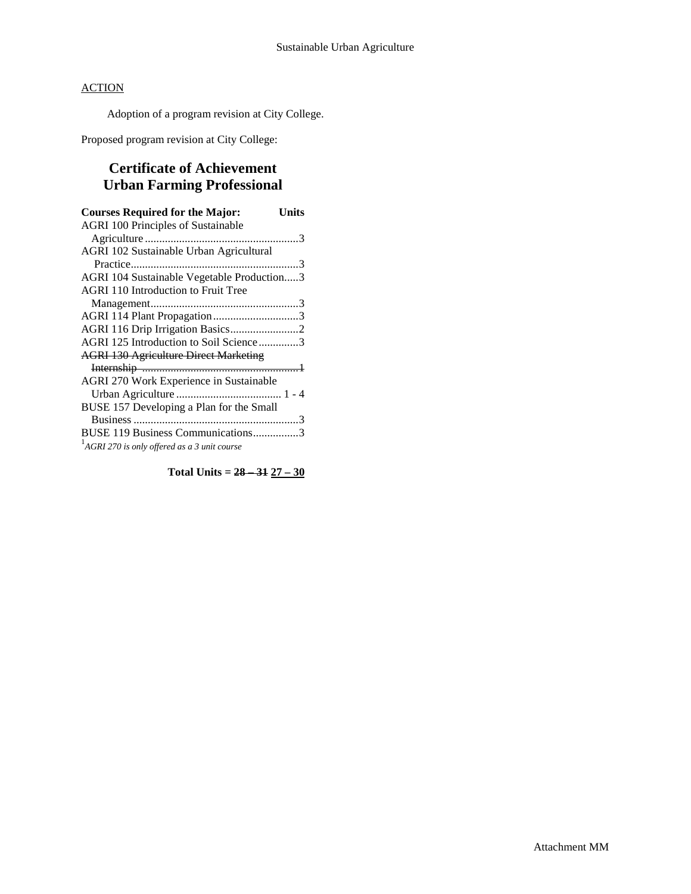Adoption of a program revision at City College.

Proposed program revision at City College:

# **Certificate of Achievement Urban Farming Professional**

| <b>Courses Required for the Major:</b>                   | Units |
|----------------------------------------------------------|-------|
| <b>AGRI 100 Principles of Sustainable</b>                |       |
|                                                          |       |
| AGRI 102 Sustainable Urban Agricultural                  |       |
|                                                          |       |
| AGRI 104 Sustainable Vegetable Production3               |       |
| <b>AGRI 110 Introduction to Fruit Tree</b>               |       |
|                                                          |       |
| AGRI 114 Plant Propagation3                              |       |
|                                                          |       |
| AGRI 125 Introduction to Soil Science3                   |       |
| <b>AGRI 130 Agriculture Direct Marketing</b>             |       |
|                                                          |       |
| AGRI 270 Work Experience in Sustainable                  |       |
|                                                          |       |
| BUSE 157 Developing a Plan for the Small                 |       |
|                                                          |       |
| BUSE 119 Business Communications3                        |       |
| <sup>1</sup> AGRI 270 is only offered as a 3 unit course |       |

**Total Units = 28 – 31 27 – 30**